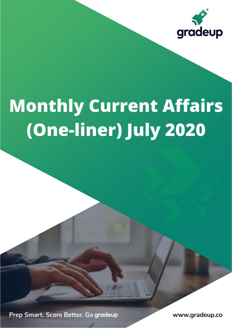

# **Monthly Current Affairs** (One-liner) July 2020

Prep Smart. Score Better. Go gradeup

www.gradeup.co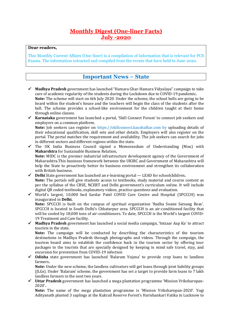### **Monthly Digest (One-liner Facts) July -2020**

#### **Dear readers,**

This Monthly Current Affairs (One-liner) is a compilation of information that is relevant for PCS Exams. The information extracted and compiled from the events that have held in June 2020.

#### **Important News – State**

- ✓ **Madhya Pradesh** government has launched "Hamara Ghar-Hamara Vidyalaya" campaign to take care of academic regularity of the students during the Lockdown due to COVID-19 pandemic**. Note:** The scheme will start on 6th July 2020. Under the scheme, the school bells are going to be heard within the student's house and the teachers will begin the class of the students after the bell. The scheme provides a school-like environment for the children taught at their home through online classes.
- ✓ **Karnataka** government has launched a portal, 'Skill Connect Forum' to connect job seekers and employers on a common platform. **Note:** Job seekers can register on https://skillconnect.kaushalkar.com by uploading details of their educational qualification, skill sets and other details. Employers will also register on the portal. The portal matches the requirement and availability. The job seekers can search for jobs in different sectors and different regions within the state.
- ✓ The UK India Business Council signed a Memorandum of Understanding (Mou) with **Maharshtra** for Sustainable Business Relation**. Note:** MIDC is the premier industrial infrastructure development agency of the Government of Maharashtra.This business framework between the UKIBC and Government of Maharashtra will help the State to proactively better its business environment and strengthen its collaboration with British business.
- ✓ **Delhi** State government has launched an e-learning portal LEAD for schoolchildren**. Note:** The portals will give students access to textbooks, study material and course content as per the syllabus of the CBSE, NCERT and Delhi government's curriculum online. It will include digital QR coded textbooks, explanatory videos, practice questions and evaluation.
- ✓ World's largest, 10,000 bed Sardar Patel COVID Care Centre and Hospital (SPCCCH) was inaugurated in **Delhi.**

**Note:** SPCCCH is built on the campus of spiritual organization 'Radha Soami Satsang Beas'. SPCCCH is located in South Delhi's Chhatarpur area. SPCCCH is an air-conditioned facility that will be cooled by 18,000 tons of air-conditioners. To date, SPCCCH is the World's largest COVID-19 Treatment and Care facility.

✓ **Madhya Pradesh** government has launched a social media campaign, 'Intzaar Aap Ka' to attract tourists in the state.

**Note:** The campaign will be conducted by describing the characteristics of the tourism destinations in Madhya Pradesh through photographs and videos. Through the campaign, the tourism board aims to establish the confidence back in the tourism sector by offering tour packages to the tourists that are specially designed by keeping in mind safe travel, stay, and excursion for prevention from COVID-19 infection

✓ **Odisha** state government has launched 'Balaram Yojana' to provide crop loans to landless farmers**.**

**Note:** Under the new scheme, the landless cultivators will get loans through joint liability groups (JLGs). Under 'Balaram' scheme, the government has set a target to provide farm loans to 7 lakh landless farmers in the next two years.

✓ **Uttar Pradesh** government has launched a mega plantation programme 'Mission Vriksharopan-2020'**.**

**Note:** The name of the mega plantation programme is 'Mission Vriksharopan-2020'. Yogi Adityanath planted 3 saplings at the Kukrail Reserve Forest's Harishankari Vatika in Lucknow to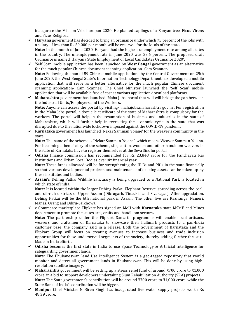inaugurate the Mission Vriksharopan-2020. He planted saplings of a Banyan tree, Ficus Virens and Ficus Religiosa.

- ✓ **Haryana** government has decided to bring an ordinance under which 75 percent of the jobs with a salary of less than Rs 50,000 per month will be reserved for the locals of the state**. Note:** In the month of June 2020, Haryana had the highest unemployment rate among all states
	- in the country. The unemployment rate in June 2020 was 33.6 percent. The proposed draft Ordinance is named 'Haryana State Employment of Local Candidates Ordinance 2020'.
- ✓ 'Self Scan' mobile application has been launched by **West Bengal** government as an alternative for the much popular Chinese document scanning application- Cam Scanner**. Note:** Following the ban of 59 Chinese mobile applications by the Central Government on 29th June 2020, the West Bengal State's Information Technology Department has developed a mobile application that will serve as a better alternative for the much popular Chinese document scanning application- Cam Scanner. The Chief Minister launched the 'Self Scan' mobile application that will be available free of cost at various application download platforms.
- ✓ **Maharashtra** government has launched 'Maha Jobs' portal that will will bridge the gap between the Industrial Units/Employers and the Workers**. Note:** Anyone can access the portal by visiting- 'mahajobs.maharashtra.gov.in'. For registration in the Maha Jobs portal, a domicile certificate of the state of Maharashtra is compulsory for the workers. The portal will help in the resumption of business and industries in the state of Maharashtra, which will further help in recreating the economic cycle in the state that was disrupted due to the nationwide lockdown imposed against the COVID-19 pandemic.
- ✓ **Karnataka** government has launched 'Nekar Samman Yojane' for the weaver's community in the state**.**

**Note:** The name of the scheme is 'Nekar Samman Yojane', which means Weaver Samman Yojana. For becoming a beneficiary of the scheme, silk, cotton, woolen and other handloom weavers in the state of Karnataka have to register themselves at the Seva Sindhu portal.

✓ **Odisha** finance commission has recommended for Rs 23,848 crore for the Panchayati Raj Institutions and Urban Local Bodies over six financial year**.**

**Note:** These funds allocated will be for strengthening the ULBs and PRIs in the state financially so that various developmental projects and maintenance of existing assets can be taken up by these institutes and bodies.

✓ **Assam**'s Dehing Patkai Wildlife Sanctuary is being upgraded to a National Park is located in which state of India**.**

**Note:** It is located within the larger Dehing Patkai Elephant Reserve, spreading across the coaland oil-rich districts of Upper Assam (Dibrugarh, Tinsukia and Sivasagar). After upgradation, Dehing Patkai will be the 6th national park in Assam. The other five are Kaziranga, Nameri, Manas, Orang and Dibru-Saikhowa.

- ✓ e-Commerce marketplace Flipkart has signed an MoU with **Karnataka** state MSME and Mines department to promote the states arts, crafts and handloom sectors**. Note:** The partnership under the Flipkart Samarth programme will enable local artisans, weavers and craftsmen of Karnataka to showcase their hallmark products to a pan-India customer base, the company said in a release. Both the Government of Karnataka and the Flipkart Group will focus on creating avenues to increase business and trade inclusion opportunities for these underserved segments of the society, thereby adding further thrust to Made in India efforts.
- ✓ **Odisha** becomes the first state in India to use Space Technology & Artificial Intelligence for safeguarding government lands. **Note:** The Bhubaneswar Land Use Intelligence System is a geo-tagged repository that would monitor and detect all government lands in Bhubaneswar. This will be done by using highresolution satellite imagery.
- ✓ **Maharashtra** government will be setting up a stress relief fund of around ₹700 crore to ₹1,000 crore, in a bid to support developers undertaking Slum Rehabilitation Authority (SRA) projects. **Note:** The State government's contribution will be around ₹700 crore to ₹1,000 crore, while the State Bank of India's contribution will be bigger."
- ✓ **Manipur** Chief Minister N Biren Singh has inaugurated five water supply projects worth Rs 48.39 crore.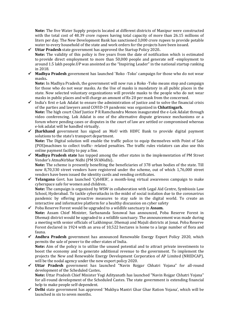**Note:** The five Water Supply projects located at different districts of Manipur were constructed with the total cost of 48.39 crore rupees having total capacity of more than 26.15 millions of liters per day. The New Development Bank has sanctioned 3,000 crore rupees to provide potable water to every household of the state and work orders for the projects have been issued.

- ✓ **Uttar Pradesh** state government has approved the Startup Policy 2020**. Note:** The validity of this policy is five years from the date of notification which is estimated to provide direct employment to more than 50,000 people and generate self -employment to around 1.5 lakh people.UP was anointed as the "Inspiring Leader" in the national startup ranking in 2018.
- ✓ **Madhya Pradesh** government has launched 'Roko -Toko' campaign for those who do not wear masks**.**

**Note:** In Madhya Pradesh, the government will now run a Roko -Toko means stop and campaign for those who do not wear masks. As the Use of masks is mandatory in all public places in the state. Now selected voluntary organizations will provide masks to the people who do not wear masks in public places and will charge an amount of Rs 20 per mask from the concerned.

- ✓ India's first e-Lok Adalat to ensure the administration of justice and to solve the financial crisis of the parties and lawyers amid COVID-19 pandemic was organized in **Chhattisgarh. Note:** The high court Chief Justice P R Ramchandra Menon inaugurated the e-Lok Adalat through video conferencing. Lok Adalat is one of the alternative dispute grievance mechanisms or a forum where pending cases or disputes in the court of law are settled or compromised whereas e-lok adalat will be handled virtually.
- ✓ **Jharkhand** government has signed an MoU with HDFC Bank to provide digital payment solutions to the state's transport department. **Note:** The Digital solution will enable the traffic police to equip themselves with Point of Sale (POS)machines to collect traffic- related penalties. The traffic rules violators can also use this online payment facility to pay a fine.
- ✓ **Madhya Pradesh state** has topped among the other states in the implementation of PM Street Vendor's AtmaNirbhar Nidhi (PM SVANidhi)**. Note:** The scheme is presently benefiting the beneficiaries of 378 urban bodies of the state. Till now 8,70,330 street vendors have registered under the scheme, out of which 1,76,000 street vendors have been issued the identity cards and vending certificates.
- ✓ **Telangana** Govt. has launched 'CybHER', a month-long virtual awareness campaign to make cyberspace safe for women and children**.**

**Note:** The campaign is organized by WSW in collaboration with Legal Aid Centre, Symbiosis Law School, Hyderabad. To tackle cyberattacks in the midst of social isolation due to the coronavirus pandemic by offering proactive measures to stay safe in the digital world. To create an interactive and informative platform for a healthy discussion on cyber safety

- ✓ Poba Reserve Forest would be upgraded to a wildlife sanctuary in **Assam. Note:** Assam Chief Minister, Sarbananda Sonowal has announced, Poba Reserve Forest in Dhemaji district would be upgraded to a wildlife sanctuary. The announcement was made during a meeting with senior officials of Lakhimpur, Dhemaji and Majuli districts at Jonai. Poba Reserve Forest declared in 1924 with an area of 10,522 hectares is home to a large number of flora and fauna.
- ✓ **Andhra Pradesh** government has announced Renewable Energy Export Policy 2020, which permits the sale of power to the other states of India. **Note:** Aim of the policy is to utilize the unused potential and to attract private investments to boost the economy and to generate additional revenue to the government. To implement the projects the New and Renewable Energy Development Corporation of AP Limited (NREDCAP), will be the nodal agency under the new export policy 2020.
- ✓ **Uttar Pradesh** government has launched "Navin Rojgar Chhatri Yojana" for all-round development of the Scheduled Castes**. Note:** Uttar Pradesh Chief Minister Yogi Adityanath has launched "Navin Rojgar Chhatri Yojana" for all-round development of the Scheduled Castes. The state government is extending financial help to make people self-dependent.
- ✓ **Delhi** state government has approved 'Mukhya Mantri Ghar Ghar Ration Yojana', which will be launched in six to seven months.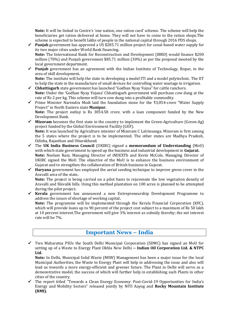**Note:** It will be linked to Centre's 'one nation, one ration card' scheme. The scheme will help the beneficiaries get ration delivered at home. They will not have to come to the ration shops.The scheme is expected to benefit lakhs of people in the national capital through 2016 PDS shops.

- $\checkmark$  **Punjab** government has approved a US \$285.71 million project for canal-based water supply for its two major cities under World Bank financing. **Note:** The International Bank for Reconstruction and Development (IBRD) would finance \$200 million (70%) and Punjab government \$85.71 million (30%) as per the proposal mooted by the local government department.
- $\checkmark$  **Punjab** government has an agreement with the Indian Institute of Technology, Ropar, in the area of skill development**. Note:** The institute will help the state in developing a model ITI and a model polytechnic. The IIT
- to help the state in the manufacture of small devices for controlling water wastage in irrigation. ✓ **Chhattisgarh** state government has launched "Godhan Nyay Yojna" for cattle ranchers. **Note:** Under the 'Godhan Nyay Yojana' Chhattisgarh government will purchase cow dung at the rate of Rs 2 per kg. This scheme will turn cow dung into a profitable commodity.
- ✓ Prime Minister Narendra Modi laid the foundation stone for the ₹3,054-crore "Water Supply Project" in North Eastern state **Manipur. Note:** The project outlay is Rs 3054.58 crore, with a loan component funded by the New Development Bank.
- ✓ **Mizoram** becomes the first state in the country to implement the Green-Agriculture (Green-Ag) project funded by the Global Environment Facility (GEF). **Note:** It was launched by Agriculture minister of Mizoram C Lalrinsanga. Mizoram is first among the 5 states where the project is to be implemented. The other states are Madhya Pradesh, Odisha, Rajasthan and Uttarakhand.
- ✓ The **UK India Business Council** (UKIBC) signed a **memorandum of Understanding** (MoU) with which state government to speed up the business and industrial development in **Gujarat. Note:** Neelam Rani, Managing Director of iNDEXTb and Kevin McCole, Managing Director of UKIBC signed the MoU. The objective of the MoU is to enhance the business environment of Gujarat and to strengthen the collaboration of British business in Gujarat.
- ✓ **Haryana** government has employed the aerial seeding technique to improve green cover in the Aravalli area of the state**. Note:** The project is being carried on a pilot basis to rejuvenate the low vegetation density of

Aravalli and Shivalik hills. Using this method plantation on 100 acres is planned to be attempted during the pilot project.

✓ **Kerala** government has announced a new Entrepreneurship Development Programme to address the issues of shortage of working capital**.**

**Note:** The programme will be implemented through the Kerala Financial Corporation (KFC), which will provide loans up to 90 percent of the project cost subject to a maximum of Rs 50 lakh at 10 percent interest.The government will give 3% interest as subsidy thereby; the net interest rate will be 7%.

### **Important News – India**

✓ Two Maharatna PSUs the South Delhi Municipal Corporation (SDMC) has signed an MoU for setting up of a Waste to Energy Plant Okhla New Delhi **-- Indian Oil Corporation Ltd. & NTPC Ltd.**

**Note:** In Delhi, Municipal Solid Waste (MSW) Management has been a major issue for the local Municipal Authorities, the Waste to Energy Plant will help in addressing the issue and also will lead us towards a more energy-efficient and greener future. The Plant in Delhi will serve as a demonstrative model, the success of which will further help in establishing such Plants in other cities of the country.

✓ The report titled "Towards a Clean Energy Economy: Post-Covid-19 Opportunities for India's Energy and Mobility Sectors" released jointly by NITI Aayog and **Rocky Mountain Institute (RMI).**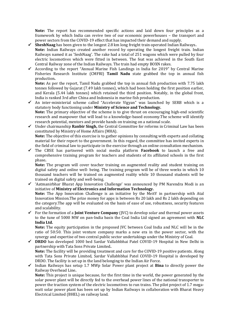**Note:** The report has recommended specific actions and laid down four principles as a framework by which India can revive two of our economic powerhouses – the transport and power sectors from the COVID-19 effect that has impacted their demand and supply.

- ✓ **SheshNaag** has been given to the longest 2.8 km long freight train operated Indian Railways**. Note:** Indian Railways created another record by operating the longest freight train. Indian Railways named it as 'SeshNaag'. The rake had a total of 251 wagons which were pulled by four electric locomotives which were fitted in between. The feat was achieved in the South East Central Railway zone of the Indian Railways. The train had empty BOXN rakes.
- $\checkmark$  According to the report "Annual Marine Fish Landings in India for 2019" by Central Marine Fisheries Research Institute (CMFRI) **Tamil Nadu** state grabbed the top in annual fish production**.**

**Note:** As per the report, Tamil Nadu grabbed the top in annual fish production with 7.75 lakh tonnes followed by Gujarat (7.49 lakh tonnes), which had been holding the first position earlier, and Kerala (5.44 lakh tonnes) which retained the third position. Notably, in the global front, India is ranked 3rd after China and Indonesia in marine fish production.

- ✓ An inter-ministerial scheme called "Accelerate Vigyan" was launched by SERB which is a statutory body functioning under **Ministry of Science and Technology. Note:** The primary objective of the scheme is to give thrust on encouraging high-end scientific research and manpower that will lead to a knowledge-based economy.The scheme will identify research potential, mentors and provide hands on training on a national scale.
- ✓ Under chairmanship **Ranbir Singh,** the Central Committee for reforms in Criminal Law has been constituted by Ministry of Home Affairs (MHA). **Note:** The objective of this exercise is to gather opinions by consulting with experts and collating material for their report to the government. In this regard, the committee has invited experts in
- the field of criminal law to participate in the exercise through an online consultation mechanism. ✓ The CBSE has partnered with social media platform **Facebook** to launch a free and comprehensive training program for teachers and students of its affiliated schools in the first phase**.**

**Note:** The program will cover teacher training on augmented reality and student training on digital safety and online well- being. The training program will be of three weeks in which 10 thousand teachers will be trained on augmented reality while 10 thousand students will be trained on digital safety and well-being.

- ✓ 'Aatmanirbhar Bharat App Innovation Challenge' was announced by PM Narendra Modi is an initiative of **Ministry of Electronics and Information Technology. Note:** The App Innovation Challenge is an initiative by the MeitY in partnership with Atal Innovation Mission.The prize money for apps is between Rs 20 lakh and Rs 2 lakh depending on the category.The app will be evaluated on the basis of ease of use, robustness, security features and scalability.
- ✓ For the formation of a **Joint Venture Company** (JVC) to develop solar and thermal power assets to the tune of 5000 MW on pan-India basis the Coal India Ltd signed an agreement with **NLC India Ltd.**

**Note:** The equity participation in the proposed JVC between Coal India and NLC will be in the ratio of 50:50. This joint venture company marks a new era in the power sector, with the synergy and expertise of two central public sector undertakings under the Ministry of Coal.

- ✓ **DRDO** has developed 1000 bed Sardar Vallabhbhai Patel COVID-19 Hospital in New Delhi in partnership with Tata Sons Private Limited**. Note:** The facility will be providing treatment and care for the COVID-19 positive patients. Along with Tata Sons Private Limited, Sardar Vallabhbhai Patel COVID-19 Hospital is developed by DRDO. The facility is set up in the land belonging to the Indian Air Force.
- ✓ Indian Railways has setup 1.7 MWp Solar Power plant project at **Bina** to directly power the Railway Overhead Line**.**

**Note:** This project is unique because, for the first time in the world, the power generated by the solar power plant will be directly fed to the overhead power lines of the national transporter to power the traction system of the electric locomotives to run trains. The pilot project of 1.7 megawatt solar power plant has been set up by Indian Railways in collaboration with Bharat Heavy Electrical Limited (BHEL) on railway land.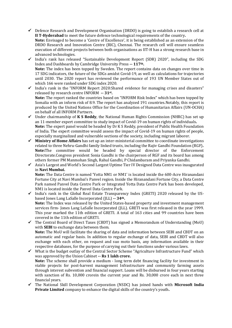$\checkmark$  Defence Research and Development Organisation (DRDO) is going to establish a research cell at **II T-Hyderabad** to meet the future defence technological requirements of the country**. Note:** Envisaged to become a 'Centre of Excellence', it is being established as an extension of the

DRDO Research and Innovation Centre (RIC), Chennai. The research cell will ensure seamless execution of different projects between both organisations as IIT-H has a strong research base in advanced technologies.

- ✓ India's rank has released "Sustainable Development Report (SDR) 2020", including the SDG Index and Dashboards by Cambridge University Press **-- 117th. Note:** The index has been topped by Sweden. The report contains data on changes over time in 17 SDG indicators, the future of the SDGs amidst Covid-19, as well as calculations for trajectories until 2030. The 2020 report has reviewed the performance of 193 UN Member States out of which 166 were ranked under SDG index 2020.
- ✓ India's rank in the "INFORM Report 2020:Shared evidence for managing crises and disasters" released by research centre INFORM **-- 31st . Note:** The report ranked the countries based on "INFORM Risk Index" which has been topped by Somalia with an inform risk of 8.9. The report has analyzed 191 countries.Notably, this report is produced by the United Nations Office for the Coordination of Humanitarian Affairs (UN-OCHA) on behalf of all INFORM Partners.
- ✓ Under chairmanship of **K S Reddy**, the National Human Rights Commission (NHRC) has set up an 11-member expert committee to study impact of Covid-19 on human rights of individuals**. Note:** The expert panel would be headed by Dr K S Reddy, president of Public Health Foundation of India. The expert committee would assess the impact of Covid-19 on human rights of people, especially marginalized and vulnerable sections of the society, including migrant laborer.
- ✓ **Ministry of Home Affairs** has set up an inter-ministerial committee to coordinate investigations related to three Nehru-Gandhi family linked trusts, including the Rajiv Gandhi Foundation (RGF)**. Note:**The committee would be headed by special director of the Enforcement Directorate.Congress president Sonia Gandhi is the chairperson of RGF and its board has among others former PM Manmohan Singh, Rahul Gandhi, P Chidambaram and Priyanka Gandhi.
- ✓ Asia's Largest and World's Second Largest Uptime Tier IV Designed Data Centre was inaugurated in **Navi Mumbai.**

**Note:** The Data Centre is named 'Yotta NM1 or NM1' is located inside the 600-Acre Hiranandani Fortune City at Navi Mumbai's Panvel region. Inside the Hiranandani Fortune City, a Data Centre Park named Panvel Data Centre Park or Integrated Yotta Data Centre Park has been developed, NM1 is located inside the Panvel Data Centre Park.

- ✓ India's rank in the Global Real Estate Transparency Index (GRETI) 2020 released by the USbased Jones Lang LaSalle Incorporated (JLL) **-- 34th. Note:** The Index was released by the United States-based property and investment management services firm- Jones Lang LaSalle Incorporated (JLL). GRETI was first released in the year 1999. This year marked the 11th edition of GRETI. A total of 163 cities and 99 countries have been covered in the 11th edition of GRETI.
- ✓ The Central Board of Direct Taxes (CBDT) has signed a Memorandum of Understanding (MoU) with **SEBI** to exchange data between them. **Note:** The MoU will facilitate the sharing of data and information between SEBI and CBDT on an automatic and regular basis. In addition to regular exchange of data, SEBI and CBDT will also exchange with each other, on request and suo moto basis, any information available in their respective databases, for the purpose of carrying out their functions under various laws.
- ✓ What is the budget outlay of the Central Sector Scheme "Agriculture Infrastructure Fund" which was approved by the Union Cabinet **-- Rs 1 lakh crore. Note:** The scheme shall provide a medium - long term debt financing facility for investment in viable projects for post-harvest management Infrastructure and community farming assets through interest subvention and financial support. Loans will be disbursed in four years starting with sanction of Rs. 10,000 crorein the current year and Rs. 30,000 crore each in next three financial years.
- ✓ The National Skill Development Corporation (NSDC) has joined hands with **Microsoft India Private Limited** company to enhance the digital skills of the country's youth**.**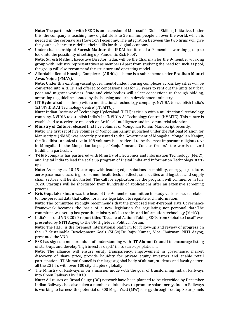**Note:** The partnership with NSDC is an extension of Microsoft's Global Skilling Initiative. Under this, the company is teaching new digital skills to 25 million people all over the world, which is needed in the coronavirus (Covid-19) economy. The integration between the two firms will give the youth a chance to redefine their skills for the digital economy.

- ✓ Under chairmanship of **Suresh Mathur**, the IRDAI has formed a 9- member working group to look into the possibility of setting up 'Pandemic Risk Pool'**. Note:** Suresh Mathur, Executive Director, Irdai, will be the Chairman for the 9-member working group with industry representatives as members.Apart from studying the need for such as pool, the group will also recommend the structure and operating model.
- ✓ Affordable Rental Housing Complexes (ARHCs) scheme is a sub-scheme under **Pradhan Mantri Awas Yojna (PMAY).**

**Note:** Under this existing vacant government-funded housing complexes across key cities will be converted into ARHCs, and offered to concessionaires for 25 years to rent out the units to urban poor and migrant workers. State and civic bodies will select concessionaire through bidding, according to guidelines issued by the housing and urban development ministry.

- ✓ **IIT Hyderabad** has tie-up with a multinational technology company, NVIDIA to establish India's 1st 'NVIDIA AI Technology Centre' (NVAITC)**. Note:** Indian Institute of Technology Hyderabad (IITH) is tie-up with a multinational technology company, NVIDIA to establish India's 1st 'NVIDIA AI Technology Centre' (NVAITC). This centre is established to accelerate research on Artificial Intelligence and its commercial adoption.
- ✓ **Ministry of Culture** released first five volumes of Mongolian Kanjur Manuscript recently. **Note:** The first set of five volumes of Mongolian Kanjur published under the National Mission for Manuscripts (NMM) was recently presented to the Government of Mongolia. Mongolian Kanjur, the Buddhist canonical text in 108 volumes is considered to be the most important religious text in Mongolia. In the Mongolian language 'Kanjur' means 'Concise Orders'- the words of Lord Buddha in particular.
- $\checkmark$  **T-Hub** company has partnered with Ministry of Electronics and Information Technology (MeitY) and Digital India to lead the scale up program of Digital India and Information Technology startups.

**Note:** As many as 10-15 startups with leading-edge solutions in mobility, energy, agriculture, aerospace, manufacturing, consumer, healthtech, medtech, smart cities and logistics and supply chain sectors will be shortlisted. The call for application for the program will commence in July 2020. Startups will be shortlisted from hundreds of applications after an extensive screening process.

- ✓ **Kris Gopalakrishnan** was the head of the 9-member committee to study various issues related to non-personal data that called for a new legislation to regulate such information. **Note:** The committee strongly recommends that the proposed Non-Personal Data Governance Framework becomes the basis of a new legislation for regulating non-personal data.The committee was set up last year the ministry of electronics and information technology (MeitY).
- ✓ India's second VNR 2020 report titled "Decade of Action: Taking SDGs from Global to Local" was presented by **NITI Aayog** to the UN High-level Political Forum**. Note:** The HLPF is the foremost international platform for follow-up and review of progress on the 17 Sustainable Development Goals (SDGs).Dr Rajiv Kumar, Vice Chairman, NITI Aayog, presented the VNR.
- ✓ BSE has signed a memorandum of understanding with **IIT Alumni Council** to encourage listing of start-ups and develop 'high investor depth' in its start-ups platform**. Note:** The alliance will ensure entity transparency, improvement in governance, market discovery of share price, provide liquidity for private equity investors and enable retail participation. IIT Alumni Council is the largest global body of alumni, students and faculty across all the 23 IITs with over 100 city chapters globally.
- The Ministry of Railways is on a mission mode with the goal of transforming Indian Railways into Green Railways by **2030.**

**Note:** All routes on Broad Gauge (BG) network have been planned to be electrified by December Indian Railways has also taken a number of initiatives to promote solar energy. Indian Railways is working to harness the potential of 500 Mega Watt (MW) energy through rooftop Solar panels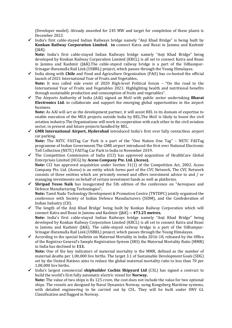(Developer model). Already awarded for 245 MW and target for completion of these plants is December 2022.

 $\checkmark$  India's first cable-stayed Indian Railways bridge namely "Anji Khad Bridge" is being built by **Konkan Railway Corporation Limited. to** connect Katra and Reasi in Jammu and Kashmir  $(I&K)$ .

**Note:** India's first cable-stayed Indian Railways bridge namely "Anji Khad Bridge" being developed by Konkan Railway Corporation Limited (KRCL) is all set to connect Katra and Reasi in Jammu and Kashmir (J&K).The cable-stayed railway bridge is a part of the Udhampur-Srinagar-Baramulla Rail Link (USBRL) project, which passes through the Young Himalayas.

- ✓ India along with **Chile** and Food and Agriculture Organization (FAO) has co-hosted the official launch of 2021 International Year of Fruits and Vegetables**. Note:** It was called side event of 2020 High-level Political forum – "On the road to the International Year of Fruits and Vegetables 2021: Highlighting health and nutritional benefits through sustainable production and consumption of fruits and vegetables".
- ✓ The Airports Authority of India (AAI) signed an MoU with public sector undertaking **Bharat Electronics Ltd.** to collaborate and support the emerging global opportunities in the airport business.

**Note:** As AAI will act as the development partner, it will assist BEL in its domain of expertise to enable execution of the MEA projects outside India by BEL.The MoU is likely to boost the civil aviation industry.The Organisations will work in cooperation with each other in the civil aviation sector, in present and future projects handled by BEL.

✓ **GMR International Airport, Hyderabad** introduced India's first ever fully contactless airport car parking.

**Note:** The NETC FASTag Car Park is a part of the "One Nation One Tag" – NETC FASTag programme of Indian Government.The GMR airport introduced the first ever National Electronic Toll Collection (NETC) FASTag Car Park in India in November 2019.

 $\checkmark$  The Competition Commission of India (CCI) has approved acquisition of HealthCare Global Enterprises Limited (HCG) by **Aceso Company Pte. Ltd. (Aceso). Note:** CCI has approved acquisition under Section 31(1) of the Competition Act, 2002. Aceso Company Pte. Ltd. (Aceso) is an entity which forms part of the CVC Network. The CVC Network

consists of three entities which are privately owned and offers investment advice to and / or managing investments on behalf of certain investment funds as well as platforms.

✓ **Shripad Yesso Naik** has inaugurated the 5th edition of the conference on "Aerospace and Defence Manufacturing Technologies"**. Note:** Tamil Nadu Technology Development & Promotion Centre (TNTDPC) jointly organised the

conference with Society of Indian Defence Manufacturers (SIDM), and the Confederation of Indian Industry (CII).

- ✓ The length of the Anji Khad Bridge' being built by Konkan Railway Corporation which will connect Katra and Reasi in Jammu and Kashmir (J&K) **-- 473.25 metres. Note:** India's first cable-stayed Indian Railways bridge namely "Anji Khad Bridge" being developed by Konkan Railway Corporation Limited (KRCL) is all set to connect Katra and Reasi in Jammu and Kashmir (J&K). The cable-stayed railway bridge is a part of the Udhampur-Srinagar-Baramulla Rail Link (USBRL) project, which passes through the Young Himalayas.
- $\checkmark$  According to the special bulletin on Maternal Mortality in India 2016-18, released by the Office of the Registrar General's Sample Registration System (SRS) the Maternal Mortality Ratio (MMR) in India has declined to **113.**

**Note:** One of the key indicators of maternal mortality is the MMR, defined as the number of maternal deaths per 1,00,000 live births. The target 3.1 of Sustainable Development Goals (SDG) set by the United Nations aims to reduce the global maternal mortality ratio to less than 70 per 1,00,000 live births.

✓ India's largest commercial **shipbuilder Cochin Shipyard Ltd** (CSL) has signed a contract to build the world's first fully automatic electric vessel for **Norway.**

**Note:** The value of two ships is Rs 125 crore, the cost does not include the value for two optional ships. The vessels are designed by Naval Dynamics Norway, using Kongsberg Maritime systems, with detailed engineering to be carried out by CSL. They will be built under DNV GL Classification and flagged in Norway.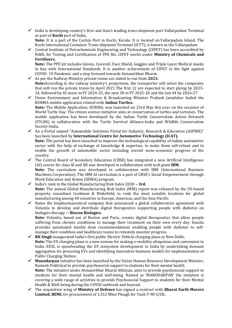$\checkmark$  India is developing country's first and Asia's leading trans-shipment port Vallarpadam Terminal as part of **Kochi** port of India**.**

**Note:** It is a part of the Cochin Port in Kochi, Kerala. It is located on Vallarpadam Island. The Kochi International Container Trans-shipment Terminal (ICTT), is known as the Vallarpadam

✓ Central Institute of Petrochemicals Engineering and Technology (CIPET) has been accredited by NABL for Testing and Certification of PPE Kit. CIPET works under **Ministry of Chemicals and Fertilizers.**

**Note:** The PPE kit includes Gloves, Coverall, Face Shield, Goggles and Triple Layer Medical masks in line with International Standards. It is another achievement of CIPET in the fight against COVID- 19 Pandemic and a step forward towards Atmanirbhar Bharat.

- ✓ As per the Railway Ministry private trains are slated to run from **2023. Note:**According to the railway ministry's projections, the transporter will select the companies that will run the private trains by April 2021.The first 12 are expected to start plying by 2023- 24, followed by 45 more in FY 2024-25, the next 50 in FY 2025-26 and the last 44 by 2026-27.
- ✓ Union Environment and Information & Broadcasting Minister Prakash Javadekar hailed the KURMA mobile application related with **Indian Turtles. Note:** The Mobile Application, KURMA, was launched on 23rd May this year on the occasion of World Turtle Day. The citizen science initiative aims at conservation of turtles and tortoises. The mobile application has been developed by the Indian Turtle Conservation Action Network (ITCAN) in collaboration with the Turtle Survival Alliance-India and Wildlife Conservation Society-India.
- ✓ An e-Portal named "Automobile Solutions Portal for Industry, Research & Education (ASPIRE)" has been launched by **International Centre for Automotive Technology (ICAT). Note:** The portal has been launched to improve the technological capability of Indian automotive sector with the help of exchange of knowledge & expertise, to make them self-reliant and to enable the growth of automobile sector including overall socio-economic progress of the country.
- ✓ The Central Board of Secondary Education (CBSE) has integrated a new Artificial Intelligence (AI) course for class XI and XII was developed in collaboration with tech giant **IBM. Note:** The curriculum was developed in collaboration with IBM (International Business Machines Corporation). The IBM AI curriculum is a part of CBSE's Social Empowerment through
- Work Education and Action (SEWA) program. ✓ India's rank in the Global Manufacturing Risk Index 2020 **– 3rd. Note:** The annual Global Manufacturing Risk Index (MRI) report was released by the US-based property consultant Cushman & Wakefield, to rank the most suitable locations for global manufacturing among 48 countries in Europe, Americas, and the Asia-Pacific.
- $\checkmark$  Name the biopharmaceutical company that announced a global collaboration agreement with Voluntis to develop and distribute digital therapeutics supporting people with diabetes on biologics therapy **-- Biocon Biologics.**

**Note:** Voluntis, based out of Boston and Paris, creates digital therapeutics that allow people suffering from chronic conditions to manage their treatment on their own every day. Insulia provides automated insulin dose recommendations enabling people with diabetes to selfmanage their condition and healthcare teams to remotely monitor progress.

- ✓ **RK Singh** inaugurated India's first public Electric Vehicle charging plaza in New Delhi**. Note:** The EV charging plaza is a new avenue for making e-mobility ubiquitous and convenient in India. EESL is spearheading the EV ecosystem development in India by undertaking demand aggregation for procuring EVs and identifying innovative business models for implementation of Public Charging Station.
- ✓ **Manodarpan** initiative has been launched by the Union Human Resource Development Minister, Ramesh Pokhriyal to provide psychosocial support to students for their mental health. **Note:** The initiative under Atmanirbhar Bharat Abhiyan, aims to provide psychosocial support to students for their mental health and well-being. Named as 'MANODARPAN' the initiative is covering a wide range of activities to provide Psychosocial Support to students for their Mental Health & Well-being during the COVID outbreak and beyond.
- ✓ The acquisition wing of **Ministry of Defence** has signed a contract with **Bharat Earth Movers Limited, BEML** for procurement of 1,512 Mine Plough for Tank T-90 S/SK**.**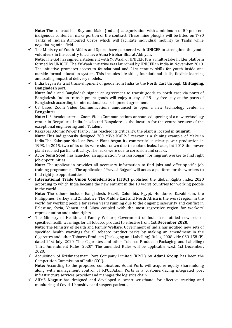**Note:** The contract has Buy and Make (Indian) categorisation with a minimum of 50 per cent indigenous content in make portion of the contract. These mine ploughs will be fitted on T-90 Tanks of Indian Armoured Corps which will facilitate individual mobility to Tanks while negotiating mine field.

- ✓ The Ministry of Youth Affairs and Sports have partnered with **UNICEF** to strengthen the youth volunteers in the country to achieve Atma Nirbhar Bharat Abhiyan**. Note:** The GoI has signed a statement with YuWaah of UNICEF. It is a multi-stake holder platform formed by UNICEF. The YuWaah initiative was launched by UNICEF in India in November 2019. The initiative promotes access to foundational and 21st century skills for youth inside and outside formal education system. This includes life skills, foundational skills, flexible learning and scaling impactful delivery models.
- ✓ India began its trial trans-shipment of goods from India to the North East through **Chittagong, Bangladesh** port.

**Note:** India and Bangladesh signed an agreement to transit goods to north east via ports of Bangladesh. Indian transshipment goods will enjoy a stay of 28-day free-stay at the ports of Bangladesh according to international transshipment agreement.

 $\checkmark$  US based Zoom Video Communications announced to open a new technology center in **Bengaluru.**

**Note:** U.S.-headquartered Zoom Video Communications announced opening of a new technology center in Bengaluru, India. It selected Bangalore as the location for the centre because of the exceptional engineering and I.T. talent.

- ✓ Kakrapar Atomic Power Plant-3 has reached its criticality; the plant is located in **Gujarat. Note:** This indigenously designed 700 MWe KAPP-3 reactor is a shining example of Make in India.The Kakrapar Nuclear Power Plant began its commercial nuclear power production in 1993. In 2015, two of its units were shut down due to coolant leaks. Later, int 2018 the power plant reached partial criticality. The leaks were due to corrosion and cracks.
- ✓ Actor **Sonu Sood.** has launched an application "Pravasi Rojgar" for migrant worker to find right job opportunities**.**

**Note:** The application provides all necessary information to find jobs and offer specific job training programmes. The application "Pravasi Rojgar" will act as a platform for the workers to find right job opportunities.

✓ **International Trade Union Confederation (ITUC)** published the Global Rights Index 2020 according to which India became the new entrant in the 10 worst countries for working people in the world.

**Note:** The others include Bangladesh, Brazil, Colombia, Egypt, Honduras, Kazakhstan, the Philippines, Turkey and Zimbabwe. The Middle East and North Africa is the worst region in the world for working people for seven years running due to the ongoing insecurity and conflict in Palestine, Syria, Yemen and Libya coupled with the most regressive region for workers' representation and union rights.

✓ The Ministry of Health and Family Welfare, Government of India has notified new sets of specified health warnings for all tobacco product to effective from **1st December 2020.**

**Note:** The Ministry of Health and Family Welfare, Government of India has notified new sets of specified health warnings for all tobacco product packs by making an amendment in the Cigarettes and other Tobacco Products (Packaging and Labelling) Rules, 2008 vide GSR 458 (E) dated 21st July, 2020 "The Cigarettes and other Tobacco Products (Packaging and Labelling) Third Amendment Rules, 2020". The amended Rules will be applicable w.e.f. 1st December, 2020.

✓ Acquisition of Krishnapatnam Port Company Limited (KPCL) by **Adani Group** has been the Competition Commission of India (CCI)**.**

**Note:** According to the proposed combination, Adani Ports will acquire equity shareholding along with management control of KPCL.Adani Ports is a customer-facing integrated port infrastructure services provider and manages the logistics chain.

✓ AIIMS **Nagpur** has designed and developed a 'smart wristband' for effective tracking and monitoring of Covid-19 positive and suspect patients.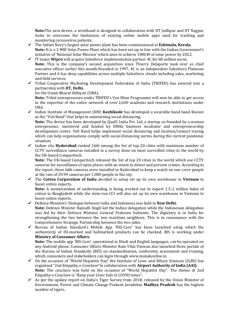**Note:**The new device, a wristband is designed in collaboration with IIT Jodhpur and IIT Nagpur looks to overcome the limitations of existing online mobile apps used for tracking and monitoring coronavirus patients.

- ✓ The Indian Navy's largest solar power plant has been commissioned at **Ezhimala, Kerala. Note:** It is a 3 MW Solar Power Plant which has been set-up in line with the Indian Government's initiative of 'National Solar Mission' which aims to achieve 100GW of solar power by 2022.
- ✓ IT major **Wipro** will acquire Salesforce implementation partner 4C for 68 million euros. **Note:** This is the company's second acquisition since Thierry Delaporte took over as chief executive officer earlier this month.Founded in 1997, 4C is an independent Salesforce Platinum Partner and it has deep capabilities across multiple Salesforce clouds including sales, marketing and field services.
- ✓ Tribal Cooperative Marketing Development Federation of India (TRIFED) has entered into a partnership with **IIT, Delhi.**

for the Unnat Bharat Abhiyan (UBA)**.**

**Note:** Tribal entrepreneurs under TRIFED's Van Dhan Programme will now be able to get access to the expertise of the entire network of over 2,600 academic and research institutions under UBA.

✓ Indian Institute of Management (IIM) **Kozhikode** has developed a wearable hand band Known as the "Veli Band" that helps in maintaining social distancing.

**Note:** The device has been developed by Qual5 India Pvt. Ltd, a startup co-founded by a woman entrepreneur, mentored and funded by IIMKs business incubator and entrepreneurship development centre. Veli Band helps implement social distancing and location/contact tracing which can help organisations comply with social distancing norms during the current pandemic situation.

✓ Indian city **Hyderabad** ranked 16th among the list of top 20 cities with maximum number of CCTV surveillance cameras installed in a survey done on most surveilled cities in the world by the UK-based Comparitech.

**Note:** The UK-based Comparitech released the list of top 20 cities in the world which use CCTV cameras for surveillance of open places with an intent to detect and prevent crimes. According to the report, three lakh cameras were installed in Hyderabad to keep a watch on one crore people at the rate of 29.99 cameras per 1,000 people in the city.

✓ The **Cotton Corporation of India** decided to setup set up its own warehouse in **Vietnam** to boost cotton exports**.**

**Note:** A memorandum of understanding is being worked out to export 1.5-2 million bales of cotton to Bangladesh while the state-run CCI will also set up its own warehouse in Vietnam to boost cotton exports.

- ✓ Defence Ministers' Dialogue between India and Indonesia was held in **New Delhi. Note:** Defence Minister Rajnath Singh led the Indian delegation while the Indonesian delegation was led by their Defence Minister General Prabowo Subianto. The dignitary is in India for strengthening the ties between the two maritime neighbors. This is in consonance with the Comprehensive Strategic Partnership between the two sides.
- ✓ Bureau of Indian Standard's Mobile App "BIS-Care" has been launched using which the authenticity of ISI-marked and hallmarked products can be checked, BIS is working under **Ministry of Consumer Affairs.**

**Note:** The mobile app 'BIS-Care', operational in Hindi and English languages, can be operated on any Android phone. Consumer Affairs Minister Ram Vilas Paswan also launched three portals of the Bureau of Indian Standards (BIS) on standardisation, conformity assessment and training, which consumers and stakeholders can login through [www.manakonline.in.](http://www.manakonline.in/)

- $\checkmark$  On the occasion of "World Hepatitis Day" the Institute of Liver and Biliary Sciences (ILBS) has organised "2nd Empathy e-Conclave"in collaboration with **Airport Authority of India (AAI). Note:** The conclave was held on the occasion of "World Hepatitis Day". The theme of 2nd Empathy e-Conclave is "Keep your Liver Safe in COVID times".
- $\checkmark$  As per the update report on India's Tiger Survey from 2018, released by the Union Minister of Environment, Forest and Climate Change Prakash Javadekar **Madhya Pradesh** has the highest number of tigers**.**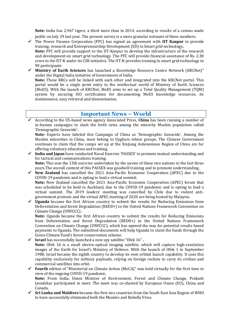**Note:** India has 2,967 tigers, a third more than in 2014, according to results of a census made public on July 29 last year. The present survey is a more granular estimate of these numbers.

✓ The Power Finance Corporation (PFC) has signed an agreement with **IIT Kanpur** to provide training, research and Entrepreneurship Development (ED) in Smart grid technology**.**

**Note:** PFC will provide support to the IIT-Kanpur to develop the infrastructure of the research and development on smart grid technology. The PFC will provide financial assistance of Rs. 2.38 crore to the IIT-K under its CSR initiative. The IIT-K provides training in smart grid technology to 90 participants

✓ **Ministry of Earth Sciences** has launched a Knowledge Resource Centre Network (KRCNet)" under the Digital India initiative of Government of India.

**Note:** These KRCs will be linked with each other and integrated into the KRCNet portal. This portal would be a single point entry to the intellectual world of Ministry of Earth Sciences (MoES). With the launch of KRCNet, MoES aims to set up a Total Quality Management (TQM) system by securing ISO certification for documenting MoES knowledge resources, its maintenance, easy retrieval and dissemination.

#### **Important News – World**

✓ According to the US-based news agency Associated Press, **China** has been running a number of in-human campaigns to slash the birth rates among the minority Muslim population called 'Demographic Genocide'**.**

**Note:** Experts have labeled this Campaign of China as 'Demographic Genocide'. Among the Muslim minorities in China, most belong to Uyghurs ethnic groups. The Chinese Government continues to claim that the camps set up at the Xinjiang Autonomous Region of China are for offering voluntary education and training.

- ✓ **India and Japan** have conducted Naval Exercise 'PASSEX' to promote mutual understanding and for tactical and communications training. **Note:** This was the 15th exercise undertaken by the navies of these two nations in the last three
- years.The overall content of this PASSEX was goodwill training and to promote understanding. ✓ **New Zealand** has cancelled the 2021 Asia-Pacific Economic Cooperation (APEC) due to the
- COVID-19 pandemic and is opting to lead a virtual summit. **Note:** New Zealand cancelled the 2021 Asia-Pacific Economic Cooperation (APEC) forum that was scheduled to be held in Auckland, due to the COVID-19 pandemic and is opting to lead a virtual summit. The 2019 leaders' meeting was cancelled by Chile due to violent antigovernment protests and the virtual APEC meeting of 2020 are being hosted by Malaysia.
- ✓ **Uganda** became the first African country to submit the results for Reducing Emissions from Deforestation and forest Degradation (REDD+) to the United Nations Framework Convention on Climate Change (UNFCCC)**.**

**Note:** Uganda became the first African country to submit the results for Reducing Emissions from Deforestation and forest Degradation (REDD+) to the United Nations Framework Convention on Climate Change (UNFCCC), which has opened the way for potential results based payments to Uganda. The submitted documents will help Uganda to claim the funds through the Green Climate Fund's forest conservation scheme.

- ✓ **Israel** has successfully launched a new spy satellite "Ofek 16" **. Note:** Ofek 16 is a small electro-optical imaging satellite, which will capture high-resolution images of the Earth for Israel's Ministry of Defence. With the launch of Ofek 1 in September 1988, Israel became the eighth country to develop its own orbital launch capability. It uses this capability exclusively for military payloads, relying on foreign rockets to carry its civilian and commercial satellites into orbit.
- ✓ **Fourth** edition of "Ministerial on Climate Action (MoCA)" was held virtually for the first time in view of the ongoing COVID-19 pandemic.

**Note:** From India, Union Minister of Environment, Forest and Climate Change, Prakash Javadekar participated in meet. The meet was co-chaired by European Union (EU), China and Canada.

✓ **Sri Lanka and Maldives** became the first two countries from the South East Asia Region of WHO to have successfully eliminated both the Measles and Rubella Virus.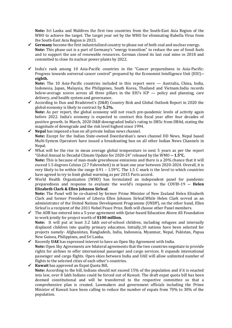**Note:** Sri Lanka and Maldives the first two countries from the South-East Asia Region of the WHO to achieve the target. The target year set by the WHO for eliminating Rubella Virus from the South-East Asia Region is 2023.

- ✓ **Germany** become the first industrialized country to phase out of both coal and nuclear energy**. Note:** This phase out is a part of Germany's "energy transition" to reduce the use of fossil fuels and to support the use of renewable resources. German closed its last coal mine in 2018 and committed to close its nuclear power plants by 2022.
- $\checkmark$  India's rank among 10 Asia-Pacific countries in the "Cancer preparedness in Asia-Pacific: Progress towards universal cancer control" prepared by the Economist Intelligence Unit (EIU)**- eighth.**

**Note:** The 10 Asia-Pacific countries included in this report were — Australia, China, India, Indonesia, Japan, Malaysia, the Philippines, South Korea, Thailand and Vietnam.India records below-average scores across all three pillars in the EIU's ICP — policy and planning, care delivery, and health system and governance.

- ✓ According to Dun and Bradstreet's (D&B) Country Risk and Global Outlook Report in 2020 the global economy is likely to contract by **5.2%. Note:** As per report, the global economy will not reach pre-pandemic levels of activity again before 2022. India's economy is expected to contract this fiscal year after four decades of positive growth. In March, 2020 D&B downgraded India's rating to DB5c from DB4d, stating the magnitude of downgrade and the risk level highest since 1994.
- ✓ **Nepal** has imposed a ban on all private Indian news channel. **Note:** Except for the Indian State-owned Doordarshan's news channel DD News, Nepal based Multi-System Operators have issued a broadcasting ban on all other Indian News Channels in Nepal.
- $\checkmark$  What will be the rise in mean average global temperature in next 5 years as per the report "Global Annual to Decadal Climate Update for 2020-24" released by the WMO **-- 1.5°C. Note:** This is because of man-made greenhouse emissions and there is a 20% chance that it will exceed 1.5 degrees Celsius (2.7 Fahrenheit) in at least one year between 2020-2024. Overall, it is very likely to be within the range  $0.91 - 1.59^{\circ}$ C. The 1.5 C mark is the level to which countries have agreed to try to limit global warming as per 2015 Paris accord.
- ✓ World Health Organization (WHO) has formulated an independent panel for pandemic preparedness and response to evaluate the world's response to the COVID-19 **-- Helen Elizabeth Clark & Ellen Johnson Sirleaf.**

**Note:** The Panel will be co-chaired by former Prime Minister of New Zealand Helen Elizabeth Clark and former President of Liberia Ellen Johnson Sirleaf.While Helen Clark served as an administrator of the United Nations Development Programme (UNDP), on the other hand, Ellen Sirleaf is a recipient of the 2011 Nobel Peace Prize. Both will choose other Panel members.

- ✓ The ADB has entered into a 5-year agreement with Qatar-based Education Above All Foundation to work jointly for project worth of **\$100 million. Note:** It will put at least 3.2 lakh out-of-school children, including refugees and internally displaced children into quality primary education. Initially,10 nations have been selected for projects namely- Afghanistan, Bangladesh, India, Indonesia, Myanmar, Nepal, Pakistan, Papua New Guinea, Philippines, and Sri Lanka.
- $\checkmark$  Recently UAE has expressed interest to have an Open Sky Agreement with India. **Note:** Open Sky Agreements are bilateral agreements that the two countries negotiate to provide rights for airlines to offer international passenger and cargo services. It expands international passenger and cargo flights. Open skies between India and UAE will allow unlimited number of flights to the selected cities of each other's countries.
- ✓ **Kuwait** has approved an Expat Quota Bill**. Note:** According to the bill, Indians should not exceed 15% of the population and if it is enacted into law, over 8 lakh Indians could be forced out of Kuwait. The draft expat quota bill has been deemed constitutional and will be transferred to the respective committee so that a comprehensive plan is created. Lawmakers and government officials including the Prime Minister of Kuwait have been calling to reduce the number of expats from 70% to 30% of the population.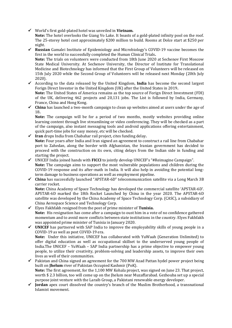✓ World's first gold-plated hotel was unveiled in **Vietnam.**

**Note:** The hotel overlooks the Giang Vo Lake. It boasts of a gold-plated infinity pool on the roof. The 25-storey hotel cost approximately \$200 million to build. Rooms at Dolce start at \$250 per night.

- ✓ **Russian** Gamalei Institute of Epidemiology and Microbiology's COVID-19 vaccine becomes the first in the world to successfully completed the Human Clinical Trials**. Note:** The trials on volunteers were conducted from 18th June 2020 at Sechenov First Moscow State Medical University. At Sechenov University, the Director of Institute for Translational Medicine and Biotechnology has informed that the First Group of Volunteers will be released on 15th July 2020 while the Second Group of Volunteers will be released next Monday (20th July 2020).
- ✓ According to the data released by the United Kingdom, **India** has become the second largest Forign Direct Investor in the United Kingdom (UK) after the United States in 2019**.**

**Note:** The United States of America remains as the top source of Forign Direct Investment (FDI) of the UK, delivering 462 projects and 20,131 jobs. The List is followed by India, Germany, France, China and Hong Kong.

✓ **China** has launched a two-month campaign to clean up websites aimed at users under the age of 18**.**

**Note:** The campaign will be for a period of two months, mostly websites providing online learning content through live streamlining or video conferencing. They will be checked as a part of the campaign, also instant messaging tools and android applications offering entertainment, quick part-time jobs for easy money, etc will be checked.

- ✓ **Iran** drops India from Chabahar rail project, cites funding delay**. Note:** Four years after India and Iran signed an agreement to construct a rail line from Chabahar port to Zahedan, along the border with Afghanistan, the Iranian government has decided to proceed with the construction on its own, citing delays from the Indian side in funding and starting the project.
- ✓ UNICEF India joined hands with **FICCI** to jointly develop UNICEF's "#Reimagine Campaign". **Note:** The campaign aims to support the most vulnerable populations and children during the COVID-19 response and its after-math in India. It will also help in avoiding the potential longterm damage to business operations as well as employment pipeline.
- ✓ **China** has successfully launched "APSTAR-6D" telecommunication satellite via a Long March 3B carrier rocket.

**Note:** China Academy of Space Technology has developed the commercial satellite 'APSTAR-6D'. APSTAR-6D marked the 18th Rocket Launched by China in the year 2020. The APSTAR-6D satellite was developed by the China Academy of Space Technology Corp. (CASC), a subsidiary of China Aerospace Science and Technology Corp.

- ✓ Elyes Fakhfakh resigned from the post of prime minister of **Tunisia. Note:** His resignation has come after a campaign to oust him in a vote of no confidence gathered momentum and to avoid more conflicts between state institutions in the country. Elyes Fakhfakh was appointed prime minister of Tunisia in January 2020.
- ✓ **UNICEF** has partnered with SAP India to improve the employability skills of young people in a COVID-19 as well as post COVID-19 era.

**Note:** Under this initiative, UNICEF has collaborated with YuWaah (Generation Unlimited) to offer digital education as well as occupational skillset to the underserved young people of India.The UNICEF – YuWaah – SAP India partnership has a prime objective to empower young people, to utilize their creativity, problem-solving and leadership assets, to improve their own lives as well of their communities.

- ✓ Pakistan and China signed an agreement for the 700 MW Azad Pattan hydel power project being built on **Jhelum** river of Pakistan Occupied Kashmir (PoK). **Note:** The first agreement, for the 1,100 MW Kohala project, was signed on June 23. That project, worth \$ 2.3 billion, too will come up on the Jhelum near Muzaffarabad. Gezhouba set up a special purpose joint venture with the Laraib Group, a Pakistani renewable energy developer.
- ✓ **Jordan** apex court dissolved the country's branch of the Muslim Brotherhood, a transnational Islamist movement.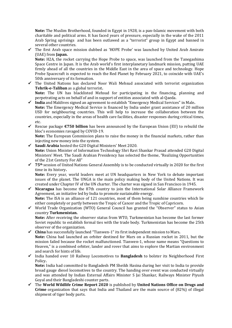**Note:** The Muslim Brotherhood, founded in Egypt in 1928, is a pan-Islamic movement with both charitable and political arms. It has faced years of pressure, especially in the wake of the 2011 Arab Spring uprisings and has been outlawed as a "terrorist" group in Egypt and banned in several other countries.

✓ The first Arab space mission dubbed as 'HOPE Probe' was launched by United Arab Amirate (UAE) from **Japan.**

**Note:** H2A, the rocket carrying the Hope Probe to space, was launched from the Tanegashima Space Centre in Japan. It is the Arab world's first interplanetary landmark mission, putting UAE firmly ahead of all the countries in the Middle East in the area of space and technology. Hope Probe Spacecraft is expected to reach the Red Planet by February 2021, to coincide with UAE's 50th anniversary of its formation.

✓ The United Nations has declared Noor Wali Mehsud associated with terrorist organization **Tehrik-e-Taliban** as a global terrorist**.**

**Note:** The UN has blacklisted Mehsud for participating in the financing, planning and perpetrating acts on behalf of and in support of entities associated with al-Qaeda.

- ✓ **India** and Maldives signed an agreement to establish "Emergency Medical Services" in Male**. Note:** The Emergency Medical Service is financed by India under grant assistance of 20 million USD for neighbouring countries. This will help to increase the collaboration between the countries, especially in the areas of health care facilities, disaster responses during critical times, etc.
- ✓ Rescue package **€750 billion** has been announced by the European Union (EU) to rebuild the bloc's economies ravaged by COVID-19.

**Note:** The European Commission plans to raise the money in the financial markets, rather than injecting new money into the system.

- ✓ **Saudi Arabia** hosted the G20 Digital Ministers' Meet 2020. **Note:** Union Minister of Information Technology Shri Ravi Shankar Prasad attended G20 Digital Ministers' Meet. The Saudi Arabian Presidency has selected the theme, "Realizing Opportunities of the 21st Century For All"
- ✓ **75th** session of United Nations General Assembly is to be conducted virtually in 2020 for the first time in its history**.**

**Note:** Every year, world leaders meet at UN headquarters in New York to debate important issues of the planet. The UNGA is the main policy making body of the United Nations. It was created under Chapter IV of the UN charter. The charter was signed in San Francisco in 1945.

- ✓ **Nicaragua** has become the 87th country to join the International Solar Alliance Framework Agreement, an initiative led by India to promote sustainable energy. **Note:** The ISA is an alliance of 121 countries, most of them being sunshine countries which lie either completely or partly between the Tropic of Cancer and the Tropic of Capricorn.
- ✓ World Trade Organization (WTO) General Council has granted the "Observer" status to Asian country **Turkmenistan.**

**Note:** After receiving the observer status from WTO, Turkmenistan has become the last former Soviet republic to establish formal ties with the trade body. Turkmenistan has become the 25th observer of the organization.

- ✓ **China** has successfully launched "Tianwen-1" its first independent mission to Mars**. Note:** China had launched an orbiter destined for Mars on a Russian rocket in 2011, but the mission failed because the rocket malfunctioned. Tianwen-1, whose name means "Questions to Heaven," is a combined orbiter, lander and rover that aims to explore the Martian environment and search for hints of life.
- ✓ India handed over 10 Railway Locomotives to **Bangladesh** to bolster its Neighborhood First Policy**.**

**Note:** India had committed to Bangladesh PM Sheikh Hasina during her visit to India to provide broad gauge diesel locomotives to the country. The handing over event was conducted virtually and was attended by Indian External Affairs Minister S Jai Shankar, Railways Minister Piyush Goyal and their Bangladeshi counter parts.

✓ The **World Wildlife Crime Report 2020** is published by **United Nations Office on Drugs and Crime** organization that says that India and Thailand are the main source of (82%) of illegal shipment of tiger body parts.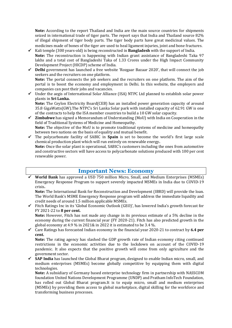**Note:** According to the report Thailand and India are the main source countries for shipments seized in international trade of tiger parts. The report says that India and Thailand source 82% of illegal shipment of tiger body parts. The tiger body parts have great medicinal values. The medicines made of bones of the tiger are used to heal ligament injuries, joint and bone fractures.

- ✓ Kali temple (300 years-old) is being reconstructed in **Bangladesh** with the support of India. **Note:** The reconstruction is happening with Indian grant assistance of Bangladeshi Taka 97 lakhs and a total cost of Bangladeshi Taka of 1.33 Crores under the High Impact Community Development Project (HICDP) scheme of India.
- ✓ **Delhi** government has launched a free website 'Rozgaar Bazaar 2020', that will connect the job seekers and the recruiters on one platform. **Note:** The portal connects the job seekers and the recruiters on one platform. The aim of the portal is to boost the economy and employment in Delhi. In this website, the employers and
- companies can post their jobs and vacancies. ✓ Under the aegis of International Solar Alliance (ISA) NTPC Ltd planned to establish solar power plants in **Sri Lanka. Note:** The Ceylon Electricity Board(CEB) has an installed power generation capacity of around

35.8 GigaWatts(GW).The NTPC's Sri Lanka Solar park with installed capacity of 62.91 GW is one of the contracts to help the ISA member countries to build a 10 GW solar capacity.

- ✓ **Zimbabwe** has signed a Memorandum of Understanding (MoU) with India on Cooperation in the field of Traditional Systems of Medicine and Homeopathy. **Note:** The objective of the MoU is to promote traditional systems of medicine and homeopathy between two nations on the basis of equality and mutual benefit.
- ✓ The polycarbonate facility of SABIC in **Spain** is set to become the world's first large scale chemical production plant which will run entirely on renewable energy**.**

**Note:** Once the solar plant is operational, SABIC's customers including the ones from automotive and constructive sectors will have access to polycarbonate solutions produced with 100 per cent renewable power.

#### **Important News: Economy**

**World Bank** has approved a USD 750 million Micro, Small, and Medium Enterprises (MSMEs) Emergency Response Program to support severely impacted MSMEs in India due to COVID-19 crisis**.**

**Note:** The International Bank for Reconstruction and Development (IBRD) will provide the loan. The World Bank's MSME Emergency Response program will address the immediate liquidity and credit needs of around 1.5 million applicable MSMEs.

✓ Fitch Ratings Inc in its 'Global Economic Outlook (GEO)', has lowered India's growth forecast for FY 2021-22 to **8 per cent.**

**Note:** However, Fitch has not made any change in its previous estimate of a 5% decline in the economy during the current financial year (FY 2020-21). Fitch has also predicted growth in the global economy at 4.9 % in 2021& in 2022 it is estimated to be 3.4 %.

✓ Care Ratings has forecasted Indian economy in the financial year 2020-21 to contract by **6.4 per cent.**

**Note:** The rating agency has slashed the GDP growth rate of Indian economy citing continued restrictions in the economic activities due to the lockdown on account of the COVID-19 pandemic. It also expects that the positive growth will come from only agriculture and the government sector.

✓ **SAP India** has launched the Global Bharat program, designed to enable Indian micro, small, and medium enterprises (MSMEs) become globally competitive by equipping them with digital technologies.

**Note:** A subsidiary of Germany based enterprise technology firm in partnership with NASSCOM foundation United Nations Development Programme (UNDP) and Pratham InfoTech Foundation, has rolled out Global Bharat program.It is to equip micro, small and medium enterprises (MSMEs) by providing them access to global marketplace, digital skilling for the workforce and transforming business processes.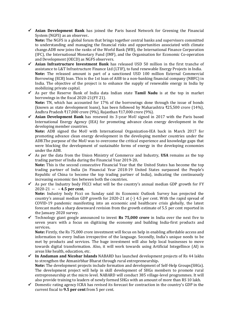✓ **Asian Development Bank** has joined the Paris based Network for Greening the Financial System (NGFS) as an observer**.**

**Note:** The NGFS is a global forum that brings together central banks and supervisors committed to understanding and managing the financial risks and opportunities associated with climate change.ADB now joins the ranks of the World Bank (WB), the International Finance Corporation (IFC), the International Monetary Fund (IMF), and the Organisation for Economic Co-operation and Development (OECD) as NGFS observers.

- ✓ **Asian Infrastructure Investment Bank** has released USD 50 million in the first tranche of assistance to L&T Infrastructure Finance Ltd (LTIF), to fund renewable Energy Projects in India. **Note:** The released amount is part of a sanctioned USD 100 million External Commercial Borrowing (ECB) loan. This is the 1st loan of AIIB to a non-banking financial company (NBFC) in India. The objective of the project is to enhance the supply of renewable energy in India by mobilizing private capital.
- ✓ As per the Reserve Bank of India data Indian state **Tamil Nadu** is at the top in market borrowings in the fiscal 2020-21(FY 21).

**Note:** TN, which has accounted for 17% of the borrowings done through the issue of bonds (known as state development loans), has been followed by Maharashtra ₹25,500 crore (14%), Andhra Pradesh ₹17,000 crore (9%), Rajasthan ₹17,000 crore (9%).

✓ **Asian Development Bank** has renewed its 3-year MoU signed in 2017 with the Paris based International Energy Agency (IEA) for promoting advance clean energy development in the developing member countries.

**Note:** ADB signed the MoU with International Organization-IEA back in March 2017 for promoting advance clean energy development in the developing member countries under the ADB.The purpose of the MoU was to overcome the critical experience and knowledge gaps that were blocking the development of sustainable forms of energy in the developing economies under the ADB.

✓ As per the data from the Union Ministry of Commerce and Industry, **USA** remains as the top trading partner of India during the Financial Year 2019-20**.**

**Note:** This is the second consecutive Financial Year that the United States has become the top trading partner of India (in Financial Year 2018-19 United States surpassed the People's Republic of China to become the top trading partner of India), indicating the continuously increasing economic ties between both the countries.

 $\checkmark$  As per the Industry body FICCI what will be the country's annual median GDP growth for FY 2020-21 **-- – 4.5 per cent.**

**Note:** Industry body Ficci on Sunday said its Economic Outlook Survey has projected the country's annual median GDP growth for 2020-21 at (-) 4.5 per cent. With the rapid spread of COVID-19 pandemic manifesting into an economic and healthcare crisis globally, the latest forecast marks a sharp downward revision from the growth estimate of 5.5 per cent reported in the January 2020 survey.

✓ Technology giant google announced to invest **Rs 75,000 crore** in India over the next five to seven years with a focus on digitizing the economy and building India-first products and services**.**

**Note:** Firstly, the Rs 75,000 crore investment will focus on help in enabling affordable access and information to every Indian irrespective of the language. Secondly, India's unique needs to be met by products and services. The huge investment will also help local businesses to move towards digital transformation. Also, it will work towards using Artificial Integellince (AI) in areas like health, education, etc.

- ✓ **In Andaman and Nicobar Islands** NABARD has launched development projects of Rs 44 lakhs to strengthen the Atmanirbhar Bharat through rural entrepreneurship**. Note:** The development projects include formation and development of Self-Help Groups(SHGs). The development project will help in skill development of SHGs members to promote rural entrepreneurship at the micro level. NABARD will conduct 385 village-level programmes. It will also provide training to leaders of newly formed SHGs with an amount of more than RS 10 lakh.
- $\checkmark$  Domestic rating agency ICRA has revised its forecast for contraction in the country's GDP in the current fiscal to **9.5 per cent** from 5 per cent.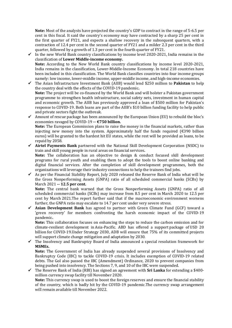**Note:** Most of the analysts have projected the country's GDP to contract in the range of 5-6.5 per cent in this fiscal. It said the country's economy may have contracted by a sharp 25 per cent in the first quarter of FY21, and expects a shallow recovery in the subsequent quarters, with a contraction of 12.4 per cent in the second quarter of FY21 and a milder 2.3 per cent in the third quarter, followed by a growth of 1.3 per cent in the fourth quarter of FY21.

- $\checkmark$  In the new World Bank country classifications by income level 2020-2021. India remains in the classification of **Lower Middle-income economy. Note:** According to the New World Bank country classifications by income level 2020-2021, India remains in the classification, Lower-Middle-Income Economy. In total 218 countries have been included in this classification. The World Bank classifies countries into four income groups namely: low income, lower-middle income, upper-middle income, and high-income economies.
- ✓ The Asian Infrastructure Investment Bank (AIIB) would lend \$250 million to **Pakistan** to help the country deal with the effects of the COVID-19 pandemic**. Note:** The project will be co-financed by the World Bank and will bolster a Pakistan government programme to strengthen health infrastructure, social safety nets, investment in human capital and economic growth. The AIIB has previously approved a loan of \$500 million for Pakistan's response to COVID-19. Both loans are part of the AIIB's \$10 billion funding facility to help public and private sectors fight the outbreak.
- $\checkmark$  Amount of rescue package has been announced by the European Union (EU) to rebuild the bloc's economies ravaged by COVID-19 **-- €750 billion. Note:** The European Commission plans to raise the money in the financial markets, rather than injecting new money into the system. Approximately half the funds required  $(E390 \text{ billion})$ euros) will be granted to the hardest hit EU states, while the rest will be provided as loans, to be repaid by 2058.
- ✓ **Airtel Payments Bank** partnered with the National Skill Development Corporation (NSDC) to train and skill young people in rural areas on financial services**. Note:** The collaboration has an objective to design & conduct focused skill development programs for rural youth and enabling them to adopt the tools to boost online banking and digital financial services. After the completion of skill development programmes, both the
- organizations will leverage their industry connections to help the trainees find jobs. ✓ As per the Financial Stability Report, July 2020 released the Reserve Bank of India what will be the Gross Nonperforming Assets (GNPA) ratio of all scheduled commercial banks (SCBs) by March 2021 **-- 12.5 per cent.**

**Note:** The central bank warned that the Gross Nonperforming Assets (GNPA) ratio of all scheduled commercial banks (SCBs) may increase from 8.5 per cent in March 2020 to 12.5 per cent by March 2021.The report further said that if the macroeconomic environment worsens further, the GNPA ratio may escalate to 14.7 per cent under very severe stress.

✓ **Asian Development Bank** has agreed to partner with Green Climate Fund (GCF) toward a 'green recovery' for members confronting the harsh economic impact of the COVID-19 pandemic**.**

**Note:** This collaboration focuses on enhancing the steps to reduce the carbon emission and for climate-resilient development in Asia-Pacific. ABD has offered a support package of USD 20 billion for COVID-19.Under Strategy 2030, ADB will ensure that 75% of its committed projects will support climate change mitigation and adaptation by 2030.

 $\checkmark$  The Insolvency and Bankruptcy Board of India announced a special resolution framework for **MSMEs.**

**Note:** The Government of India has already suspended several provisions of Insolvency and Bankruptcy Code (IBC) to tackle COVID-19 crisis. It includes exemption of COVID-19 related debts. The GoI also passed the IBC (Amendment) Ordinance, 2020 to prevent companies from being pushed into insolvency. The Sections 7, 9, and 10 of the IBC were suspended.

✓ The Reserve Bank of India (RBI) has signed an agreement with **Sri Lanka** for extending a \$400 million currency swap facility till November 2020.

**Note:** This currency swap is used to boost the foreign reserves and ensure the financial stability of the country, which is badly hit by the COVID-19 pandemic.The currency swap arrangement will remain available till November 2022.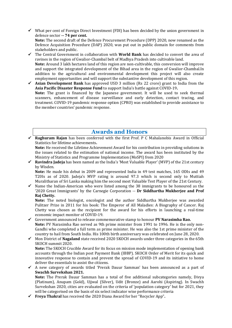$\checkmark$  What per cent of Foreign Direct Investment (FDI) has been decided by the union government in defence sector **-- 74 per cent. Note:** The second draft of the Defence Procurement Procedure (DPP) 2020, now renamed as the

Defence Acquisition Procedure (DAP) 2020, was put out in public domain for comments from stakeholders and public.

- ✓ The Central Government in collaboration with **World Bank** has decided to convert the area of ravines in the region of Gwalior-Chambal belt of Madhya Pradesh into cultivable land. **Note:** Around 3 lakh hectares land of this region are non-cultivable, this conversion will improve and support the integrated development of the Bihad area in the region of Gwalior-Chambal.In addition to the agricultural and environmental development this project will also create employment opportunities and will support the substantive development of this region.
- ✓ **Asian Development Bank** has approved USD 3 million (Rs 22 crore) grant to India from the **Asia Pacific Disaster Response Fund** to support India's battle against COVID-19**. Note:** The grant is financed by the Japanese government. It will be used to seek thermal scanners, enhancement of disease surveillance and early detection, contact tracing, and treatment. COVID-19 pandemic response option (CPRO) was established to provide assistance to the member countries' pandemic response.

#### **Awards and Honors**

✓ **Raghuram Rajan** has been conferred with the first Prof. P C Mahalanobis Award in Official Statistics for lifetime achievements**.**

**Note:** He received the Lifetime Achievement Award for his contribution in providing solutions in the issues related to the estimation of national income. The award has been instituted by the Ministry of Statistics and Programme Implementation (MoSPI) from 2020

✓ **Ravindra Jadeja** has been named as the India's 'Most Valuable Player' (MVP) of the 21st century by Wisden.

**Note:** He made his debut in 2009 and represented India in 49 test matches, 165 ODIs and 49 T20Is as of 2020. Jadeja's MVP rating is around 97.3 which is second only to Muttiah Muralitharan of Sri Lanka making him the second most Valuable Test Player of the 21st Century.

 $\checkmark$  Name the Indian-American who were listed among the 38 immigrants to be honoured as the '2020 Great Immigrants' by the Carnegie Corporation -- **Dr Siddhartha Mukherjee and Prof Raj Chetty.**

**Note:** The noted biologist, oncologist and the author Siddhartha Mukherjee was awarded Pulitzer Prize in 2011 for his book: The Emperor of All Maladies: A Biography of Cancer. Raj Chetty was chosen as the recipient for the award for his efforts in launching a real-time economic impact monitor of COVID-19.

- ✓ Government announced to release commemorative stamp to honour **PV Narasimha Rao. Note:** PV Narasimha Rao served as 9th prime minister from 1991 to 1996. He is the only non-Gandhi who completed a full term as prime minister. He was also the 1st prime minister of the country to hail from South India. His 100th birth anniversary was celebrated on June 28, 2020.
- ✓ Mon District of **Nagaland** state received 2020 SKOCH awards under three categories in the 65th SKOCH summit 2020.

**Note:** The SKOCH Crucible Award for its focus on mission mode implementation of opening bank accounts through the Indian post Payment Bank (IBBP). SKOCH Order of Merit for its quick and innovative response to contain and prevent the spread of COVID-19 and its initiative to home deliver the essentials to assist the citizens.

 $\checkmark$  A new category of awards titled 'Prerak Dauur Samman' has been announced as a part of **Swachh Survekshan 2021.**

**Note:** The Prerak Dauur Samman has a total of five additional subcategories namely, Divya (Platinum), Anupam (Gold), Ujjwal (Silver), Udit (Bronze) and Aarohi (Aspiring). In Swachh Survekshan 2020, cities are evaluated on the criteria of 'population category' but for 2021, they will be categorised on the basis of six select indicator wise performance criteria

✓ **Freya Thakral** has received the 2020 Diana Award for her "Recycler App"**.**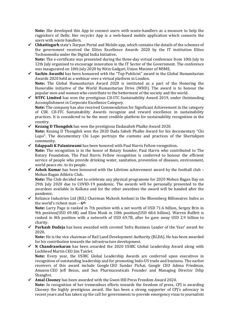**Note:** She developed this App to connect users with waste-handlers as a measure to help the ragpickers of Delhi. Her recycler App is a web-based mobile application which connects the users with waste handlers.

✓ **Chhattisgarh** state's Darpan Portal and Mobile app, which contains the details of the schemes of the government received the Elites Excellence Awards 2020 by the IT institution Elites Technomedia under the Digital India Initiative**.**

**Note:** The e-certificate was presented during the three-day virtual conference from 10th July to 12th July organised to encourage innovation in the IT Sector of the Government. The conference was inaugurated on 10th July 2020 by Nitin Gadgari, Union Minister of MSME.

- ✓ **Sachin Awasthi** has been honoured with the "Top Publicist" award in the Global Humanitarian Awards 2020 held as a webinar over a virtual platform in London. **Note:** The Global Humanitarian Award 2020 is instituted as a part of the Honoring the Honorable initiative of the World Humanitarian Drive (WHD). The award is to honour the popular men and women who contribute to the betterment of the society and the world.
- ✓ **NTPC Limited** has won the prestigious CII-ITC Sustainability Award 2019, under Outstanding Accomplishment in Corporate Excellence Category. **Note:** The company has also received Commendation for Significant Achievement in the category of CSR. CII-ITC Sustainability Awards recognize and reward excellence in sustainability practices. It is considered to be the most credible platform for sustainability recognition in the
- country. ✓ **Kezang D Thongdok** has won the prestigious Dadasaheb Phalke Award 2020. **Note:** Kezang D Thongdok won the 2020 Dada Saheb Phalke Award for his documentary "Chi Lupo". The documentary Chi Lupo portrays the customs and practices of the Shertukpen community.
- ✓ **Edappadi K Palaniswami** has been honored with Paul Harris Fellow recognition**.**

**Note:** The recognition is in the honor of Rotary founder, Paul Harris who contributed to The Rotary Foundation. The Paul Harris Fellow recognition is conferred to honour the efficient service of people who provide drinking water, sanitation, prevention of diseases, environment, world peace etc. to its people.

✓ **Ashok Kumar** has been honoured with the Lifetime achievement award by the football club – Mohun Bagan Athletic Club**.**

**Note:** The Club decided not to celebrate any physical programme for 2020 Mohun Bagan Day on 29th July 2020 due to COVID-19 pandemic. The awards will be personally presented to the awardees available in Kolkata and for the other awardees the award will be handed after the pandemic.

✓ Reliance Industries Ltd (RIL) Chairman Mukesh Ambani in the Bloomberg Billionaires Index as the world's richest man -- **6th**

**Note:** Larry Page is ranked in 7th position with a net worth of USD 71.6 billion, Sergey Brin in 9th position(USD 69.4B) and Elon Musk in 10th position(USD 68.6 billion). Warren Buffett is ranked in 8th position with a networth of USD 69.7B, after he gave away USD 2.9 billion to charity.

✓ **Parkash Dudeja** has been awarded with coveted 'Infra Business Leader of the Year' award for 2020**.**

**Note:** He is the vice chairman of Rail Land Development Authority (RLDA). He has been awarded for his contribution towards the infrastructure development.

✓ **N Chandrasekaran** has been awarded the 2020 USIBC Global Leadership Award along with Lockheed Martin CEO Jim Taiclet.

**Note:** Every year, the USIBC Global Leadership Awards are conferred upon executives in recognition of outstanding leadership and for promoting Indo-US trade and business. The earlier receivers of this award include Google CEO Sundar Pichai, Google CEO Adena Friedman, Amazon CEO Jeff Bezos, and Sun Pharmaceuticals Founder and Managing Director Dilip Shanghvi.

✓ **Amal Clooney** has been awarded with the Gwen Ifill Press Freedom Award 2020.

**Note:** In recognition of her tremendous efforts towards the freedom of press, CPJ is awarding Clooney the highly prestigious award. She has been a strong supporter of CPJ's advocacy in recent years and has taken up the call for governments to provide emergency visas to journalists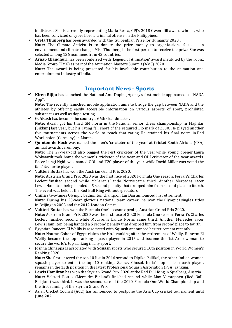in distress. She is currently representing Maria Ressa, CPJ's 2018 Gwen Ifill award winner, who has been convicted of cyber libel, a criminal offense, in the Philippines.

- ✓ **Greta Thunberg** has been awarded with the 'Gulbenkian Prize for Humanity 2020'**. Note:** The Climate Activist is to donate the prize money to organizations focused on environment and climate change. Miss Thunberg is the first person to receive the prize. She was selected among 136 nominees from 43 countries.
- ✓ **Arnab Chaudhuri** has been conferred with 'Legend of Animation' award instituted by the Toonz Media Group (TMG) as part of the Animation Masters Summit (AMS) 2020**.**

**Note:** The award is being presented for his invaluable contribution to the animation and entertainment industry of India.

#### **Important News - Sports**

✓ **Kiren Rijiju** has launched the National Anti-Doping Agency's first mobile app named as "NADA App"**.**

**Note:** The recently launched mobile application aims to bridge the gap between NADA and the athletes by offering easily accessible information on various aspects of sport, prohibited substances as well as dope-testing.

✓ **G. Akash** has become the country's 66th Grandmaster. **Note:** Akash got his third GM norm in the National senior chess championship in Majhitar (Sikkim) last year, but his rating fell short of the required Elo mark of 2500. He played another five tournaments across the world to reach that rating. He attained his final norm in Bad Worishofen (Germany) in March.

✓ **Quinton de Kock** was named the men's 'cricketer of the year' at Cricket South Africa's (CSA) annual awards ceremony**.**

**Note:** The 27-year-old also bagged the Test cricketer of the year while young opener Laura Wolvaardt took home the women's cricketer of the year and ODI cricketer of the year awards. Pacer Lungi Ngidi was named ODI and T20 player of the year while David Miller was voted the fans' favourite player.

- ✓ **Valtteri Bottas** has won the Austrian Grand Prix 2020. **Note:** Austrian Grand Prix 2020 was the first race of 2020 Formula One season. Ferrari's Charles Leclerc finished second while McLaren's Lando Norris came third. Another Mercedes racer Lewis Hamilton being handed a 5 second penalty that dropped him from second place to fourth. The event was held at the Red Bull Ring without spectators
- ✓ **China**'s two-times Olympic badminton champion Lin Dan announced his retirement**. Note:** During his 20-year glorious national team career, he won the Olympics singles titles in Beijing in 2008 and the 2012 London Games.
- ✓ **Valtteri Bottas** has won the Formula One's season opening Austrian Grand Prix 2020**. Note:** Austrian Grand Prix 2020 was the first race of 2020 Formula One season. Ferrari's Charles Leclerc finished second while McLaren's Lando Norris came third. Another Mercedes racer Lewis Hamilton being handed a 5 second penalty that dropped him from second place to fourth.
- ✓ Egyptian Raneem El Welily is associated with **Squash** announced her retirement recently**. Note:** Nouran Gohar of Egypt claims the No.1 ranking after the retirement of Welily. Raneem El Welily became the top- ranking squash player in 2015 and became the 1st Arab woman to secure the world's top ranking in any sport.
- ✓ Joshna Chinappa is associated with **Squash** sports who secured 10th position in World Women's Ranking 2020**.**

**Note:** She first entered the top 10 list in 2016 second to Dipika Pallikal, the other Indian woman squash player to enter the top 10 ranking. Saurav Ghosal, India's top male squash player, remains in the 13th position in the latest Professional Squash Association (PSA) ranking.

- ✓ **Lewis Hamilton** has won the Styrian Grand Prix 2020 at the Red Bull Ring in Spielberg, Austria**. Note:** Valtteri Bottas (Mercedes-Finland) finished second while Max Verstappen (Red Bull-Belgium) was third. It was the second race of the 2020 Formula One World Championship and the first running of the Styrian Grand Prix.
- ✓ Asian Cricket Council (ACC) has announced to postpone the Asia Cup cricket tournament until **June 2021.**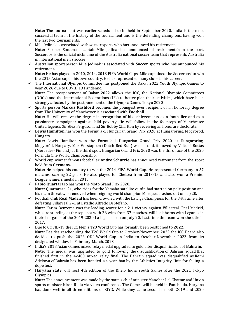**Note:** The tournament was earlier scheduled to be held in September 2020. India is the most successful team in the history of the tournament and is the defending champions, having won the last two tournaments.

- ✓ Mile Jedinak is associated with **soccer** sports who has announced his retirement. Note: Former Socceroos captain Mile Jedinak has announced his retirement from the sport. Socceroos is the official nickname of the Australia national soccer team that represents Australia in international men's soccer.
- ✓ Australian sportsperson Mile Jedinak is associated with **Soccer** sports who has announced his retirement**.**

**Note:** He has played in 2010, 2014, 2018 FIFA World Cups. Mile captained the Socceroos' to win the 2015 Asian cup in his own country. He has represented many clubs in his career.

✓ The International Olympic Committee has postponed the Dakar 2022 Youth Olympic Games to year **2026** due to COVID 19 Pandemic**. Note:** The postponement of Dakar 2022 allows the IOC, the National Olympic Committees

(NOCs) and the International Federations (IFs) to better plan their activities, which have been strongly affected by the postponement of the Olympic Games Tokyo 2020

✓ Sports person **Marcus Rashford** becomes the youngest ever recipient of an honorary degree from The University of Manchester is associated with **Football. Note:** He will receive the degree in recognition of his achievements as a footballer and as a

passionate campaigner against child poverty. He will follow in the footsteps of Manchester United legends Sir Alex Ferguson and Sir Bobby Charlton by receiving an honorary doctorate.

✓ **Lewis Hamilton** has won the Formula-1 Hungarian Grand Prix 2020 at Hungaroring, Mogyoród, Hungary**.**

**Note:** Lewis Hamilton won the Formula-1 Hungarian Grand Prix 2020 at Hungaroring, Mogyoród, Hungary. Max Verstappen (Dutch-Red Bull) was second, followed by Valtteri Bottas (Mercedes- Finland) at the third spot. Hungarian Grand Prix 2020 was the third race of the 2020 Formula One World Championship.

✓ World cup winner famous footballer **Andre Schurrle** has announced retirement from the sport held from **Germany.**

**Note:** He helped his country to win the 2014 FIFA World Cup. He represented Germany in 57 matches, scoring 22 goals. He also played for Chelsea from 2013-15 and also won a Premier League winners medal in 2015.

✓ **Fabio Quartararo** has won the Moto Grand Prix 2020. **Note:** Quartararo, 21, who rides for the Yamaha satellite outfit, had started on pole position and his main threat was removed when reigning world champion Marquez crashed out on lap 20.

✓ Football Club **Real Madrid** has been crowned with the La Liga Champions for the 34th time after defeating Villarreal 2–1 at Estadio Alfredo Di Stefano**. Note:** Karim Benzema was the leading scorer for a 2-1 victory against Villarreal. Real Madrid,

who are standing at the top spot with 26 wins from 37 matches, will lock horns with Leganes in their last game of the 2019-2020 La Liga season on July 20. Last time the team won the title in 2017.

- ✓ Due to COVID-19 the ICC Men's T20 World Cup has formally been postponed to **2022. Note:** Besides rescheduling the T20 World Cup to October-November, 2022 the ICC Board also decided to push the 2023 ODI World Cup in India to October-November 2023 from its designated window in February-March, 2023
- ✓ India's 2018 Asian Games mixed relay medal upgraded to gold after disqualification of **Bahrain. Note:** The medal was upgraded to gold following the disqualification of Bahrain squad that finished first in the 4×400 mixed relay final. The Bahrain squad was disqualified as Kemi Adekoya of Bahrain has been handed a 4-year ban by the Athletics Integrity Unit for failing a dope test.
- ✓ **Haryana** state will host 4th edition of the Khelo India Youth Games after the 2021 Tokyo Olympics**.**

**Note:** The announcement was made by the state's chief minister Manohar Lal Khattar and Union sports minister Kiren Rijiju via video conference. The Games will be held in Panchkula. Haryana has done well in all three editions of KIYG. While they came second in both 2019 and 2020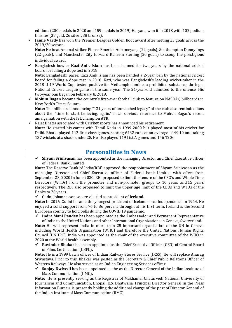editions (200 medals in 2020 and 159 medals in 2019) Haryana won it in 2018 with 102 podium finishes (38 gold, 26 silver, 38 bronze).

✓ **Jamie Vardy** has won the Premier Leagues Golden Boot award after netting 23 goals across the 2019/20 season**.**

**Note:** He beat Arsenal striker Pierre-Emerick Aubameyang (22 goals), Southampton Danny Ings (22 goals), and Manchester City forward Raheem Sterling (20 goals) to scoop the prestigious individual award.

✓ Bangladesh bowler **Kazi Anik Islam** has been banned for two years by the national cricket board for failing a dope test in 2018.

**Note:** Bangladeshi pacer, Kazi Anik Islam has been handed a 2-year ban by the national cricket board for failing a dope test in 2018. Kazi, who was Bangladesh's leading wicket-taker in the 2018 U-19 World Cup, tested positive for Methamphetamine, a prohibited substance, during a National Cricket League game in the same year. The 21-year-old admitted to the offence. His two-year ban began on February 8, 2019.

✓ **Mohun Bagan** became the country's first-ever football club to feature on NASDAQ billboards in New York's Times Square**.**

**Note:** The billboard announcing "131 years of unmatched legacy" of the club also reminded fans about the, "time to start believing, again," in an obvious reference to Mohun Bagan's recent amalgamation with the ISL champion ATK.

✓ Rajat Bhatia associated with **Cricket** sports has announced his retirement. **Note:** He started his career with Tamil Nadu in 1999-2000 but played most of his cricket for Delhi. Bhatia played 112 first-class games, scoring 6482 runs at an average of 49.10 and taking 137 wickets at a shade under 28. He also played 119 List A games and 146 T20s.

#### **Personalities in News**

✓ **Shyam Srinivasan** has been appointed as the managing Director and Chief Executive officer of Federal Bank Limited.

**Note:** The Reserve Bank of India(RBI) approved the reappointment of Shyam Srinivasan as the managing Director and Chief Executive officer of Federal bank Limited with effect from September 23, 2020.In June 2020, RBI proposed to limit the tenure of the CEO's and Whole Time Directors (WTDs) from the promoter and non-promoter groups to 10 years and 15 years respectively. The RBI also proposed to limit the upper age limit of the CEOs and WTDs of the Banks to 70 years.

✓ Gudni Johannesson was re-elected as president of **Iceland.**

**Note:** In 2016, Gudni became the youngest president of Iceland since Independence in 1944. He enjoyed a solid support from 76 to 86 percent throughout his first term. Iceland is the Second European country to hold polls during the COVID 19 pandemic.

✓ **Indra Mani Pandey** has been appointed as the Ambassador and Permanent Representative of India to the United Nations and other International Organizations in Geneva, Switzerland**.**

**Note:** He will represent India in more than 25 important organisation of the UN in Geneva including World Health Organization (WHO) and therefore the United Nations Human Rights Council (UNHRC). India was appointed as the chair of the executive committee of the WHO in 2020 at the World health assembly.

✓ **Ravinder Bhakar** has been appointed as the Chief Executive Officer (CEO) of Central Board of Films Certification (CBFC)**.**

**Note:** He is a 1999 batch officer of Indian Railway Stores Service (IRSS). He will replace Anurag Srivastava. Prior to this, Bhakar was posted as the Secretary & Chief Public Relations Officer of Western Railways. He also served as an Indian Engineering Services officer.

✓ **Sanjay Dwivedi** has been appointed as the as the Director General of the Indian Institute of Mass Communication (IIMC)**.**

**Note:** He is presently serving as the Registrar of Makhanlal Chaturvedi National University of Journalism and Communication, Bhopal. K.S. Dhatwalia, Principal Director General in the Press Information Bureau, is presently holding the additional charge of the post of Director General of the Indian Institute of Mass Communication (IIMC).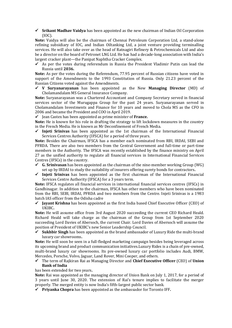✓ **Srikant Madhav Vaidya** has been appointed as the new chairman of Indian Oil Corporation (IOC).

**Note:** Vaidya will also be the chairman of Chennai Petroleum Corporation Ltd, a stand-alone refining subsidiary of IOC, and Indian Oiltanking Ltd, a joint venture providing terminalling services. He will also take over as the head of Ratnagiri Refinery & Petrochemicals Ltd and also be a director on the board of Petronet LNG Ltd. He has had a decade-long association with India's largest cracker plant—the Panipat Naphtha Cracker Complex.

 $\checkmark$  As per the votes during referendum in Russia the President Vladimir Putin can lead the Russia until **2036.**

**Note:** As per the votes during the Referendum, 77.95 percent of Russian citizens have voted in support of the Amendments to the 1993 Constitution of Russia. Only 21.23 percent of the Russian Citizens voted against the Amendments.

✓ **V Suryanarayanan** has been appointed as the New **Managing Director** (MD) of Cholamandalam MS General Insurance Company.

**Note:** Suryanarayanan was a Chartered Accountant and Company Secretary served in financial services sector of the Murugappa Group for the past 24 years. Suryanarayanan served in Cholamandalam Investments and Finance for 10 years and moved to Chola MS as the CFO in 2006 and became the President and COO in April 2019.

✓ Jean Castex has been appointed as prime minister of **France.**

**Note:** He is known for his role in drafting the strategy to lift lockdown measures in the country in the French Media. He is known as Mr Deconfinement of French Media.

✓ **Injeti Srinivas** has been appointed as the 1st chairman of the International Financial Services Centres Authority (IFSCA) for a period of three years.

**Note:** Besides the Chairman, IFSCA has a member each nominated from RBI, IRDAI, SEBI and PFRDA. There are also two members from the Central Government and full-time or part-time members in the Authority. The IFSCA was recently established by the finance ministry on April 27 as the unified authority to regulate all financial services in International Financial Services Centres (IFSCs) in the country.

- $\checkmark$  **G. Srinivasan** has been appointed as the chairman of the nine-member working Group (WG) set up by IRDAI to study the suitability of insurers offering surety bonds for contractors**.**
- ✓ **Injeti Srinivas** has been appointed as the first chairman of the International Financial Services Centre Authority (IFSCA) for a 3 years term.

**Note:** IFSCA regulates all financial services in international financial services centres (IFSCs) in Gandhinagar. In addition to the chairman, IFSCA has other members who have been nominated from the RBI, SEBI, IRDAI, PFRDA and two members from the Centre. Injeti Srinivas is a 1983 batch IAS officer from the Odisha cadre

✓ **Jayant Krishna** has been appointed as the first India based Chief Executive Officer (CEO) of UKIBC**.**

**Note:** He will assume office from 3rd August 2020 succeeding the current CEO Richard Heald. Richard Heald will take charge as the chairman of the Group from 1st September 2020 succeeding Lord Davies of Abersoch, the current Chair. Lord Davies of Abersoch will assume the position of President of UKIBC's new Senior Leadership Council.

✓ **Sukhbir Singh** has been appointed as the brand ambassador of Luxury Ride the multi-brand luxury car showrooms**.**

**Note:** He will soon be seen in a full-fledged marketing campaign besides being leveraged across its upcoming brand and product communication initiatives.Luxury Rides is a chain of pre-owned, multi-brand luxury car showrooms. Its pre-owned luxury car portfolio includes Audi, BMW, Mercedes, Porsche, Volvo, Jaguar, Land Rover, Mini Cooper, and others.

✓ The term of Rajkiran Rai as Managing Director and **Chief Executive Officer** (CEO) of **Union Bank of India**

has been extended for two years**.**

**Note:** Rai was appointed as the managing director of Union Bank on July 1, 2017, for a period of 3 years until June 30, 2020. The extension of Rai's tenure implies to facilitate the merger properly. The merged entity is now India's fifth-largest public sector bank.

✓ **Priyanka Chopra** has been appointed as the ambassador for Toronto IFF**.**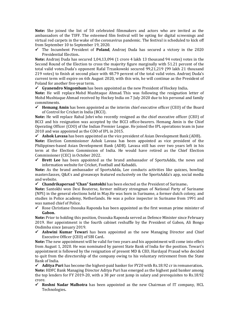**Note:** She joined the list of 50 celebrated filmmakers and actors who are invited as the ambassadors of the TIFF. The esteemed film festival will be opting for digital screenings and virtual red carpets in the wake of the coronavirus pandemic. The festival is scheduled to kick off from September 10 to September 19, 2020.

✓ The Incumbent President of **Poland**, Andrzej Duda has secured a victory in the 2020 Presidential Election**.**

**Note:** Andrzej Duda has secured 1,04,13,094 (1 crore 4 lakh 13 thousand 94 votes) votes in the Second Round of the Election to cross the majority figure marginally with 51.21 percent of the total valid votes.Duda's opponent Rafal Trzaskowski secured 99,21,219 (99 lakh 21 thousand 219 votes) to finish at second place with 48.79 percent of the total valid votes. Andrzej Duda's current term will expire on 6th August 2020, with this win, he will continue as the President of Poland for another five-year term.

✓ **Gyanendro Ningombam** has been appointed as the new President of Hockey India**.**

**Note:** He will replace Mohd Mushtaque Ahmad. This was following the resignation letter of Mohd Mushtaque Ahmad received by Hockey India on 7 July 2020 due to his personal and family commitments.

✓ **Hemang Amin** has been appointed as the interim chief executive officer (CEO) of the Board of Control for Cricket in India (BCCI).

**Note:** He will replace Rahul Johri who recently resigned as the chief executive officer (CEO) of BCCI and his resignation was accepted by the BCCI office-bearers. Hemang Amin is the Chief Operating Officer (COO) of the Indian Premier League. He joined the IPL operations team in June 2010 and was appointed as the COO of IPL in 2015.

✓ **Ashok Lavasa** has been appointed as the vice president of Asian Development Bank (ADB)**.**

**Note:** Election Commissioner Ashok Lavasa has been appointed as vice president of the Philippines-based Asian Development Bank (ADB). Lavasa still has over two years left in his term at the Election Commission of India. He would have retired as the Chief Election Commissioner (CEC) in October 2022.

✓ **Brett Lee** has been appointed as the brand ambassador of SportsAdda, the news and information website for Cricket, Football and Kabaddi**.**

**Note:** As the brand ambassador of SportsAdda, Lee conducts activities like quizzes, bowling masterclasses, Q&A's and giveaways featured exclusively on the SportsAdda's app, social media and website.

✓ **Chandrikapersad "Chan" Santokhi** has been elected as the President of Suriname**.**

**Note:** Santokhi won Desi Bouterse, former military strongman of National Party of Suriname (NPS) in the general elections held in May.He was born in Suriname, a former dutch colony, and studies in Police academy, Netherlands. He was a police inspector in Suriname from 1991 and was named chief of Police.

 $\checkmark$  Rose Christiane Ossouka Raponda has been appointed as the first woman prime minister of **Gabon.**

**Note:** Prior to holding this position, Ossouka Raponda served as Defence Minister since February 2019. Her appointment is the fourth cabinet reshuffle by the President of Gabon, Ali Bongo Ondimba since January 2019.

✓ **Ashwini Kumar Tewari** has been appointed as the new Managing Director and Chief Executive Officer (CEO) of SBI Card**.**

**Note:** The new appointment will be valid for two years and his appointment will come into effect from August 1, 2020. He was nominated by parent State Bank of India for the position. Tewari's appointment is followed by the resignation of present MD & CEO, Hardayal Prasad who decided to quit from the directorship of the company owing to his voluntary retirement from the State Bank of India.

✓ **Aditya Puri** has become the highest-paid banker for FY20 with Rs.18.92 cr in remuneration**. Note:** HDFC Bank Managing Director Aditya Puri has emerged as the highest paid banker among the top lenders for FY 2019-20, with a 38 per cent jump in salary and prerequisites to Rs.18.92 crore.

✓ **Roshni Nadar Malhotra** has been appointed as the new Chairman of IT company, HCL Technologies**.**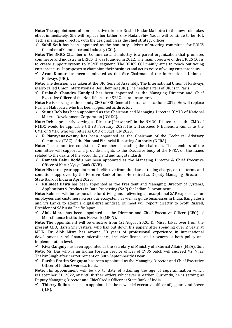**Note:** The appointment of non-executive director Roshni Nadar Malhotra to the new role takes effect immediately. She will replace her father, Shiv Nadar. Shiv Nadar will continue to be HCL Tech's managing director, with the designation as the chief strategy officer.

**Sahil Seth** has been appointed as the honorary adviser of steering committee for BRICS Chamber of Commerce and Industry (CCI)**.**

**Note:** The BRICS Chamber of Commerce and Industry is a parent organization that promotes commerce and industry in BRICS. It was founded in 2012. The main objective of the BRICS CCI is to create support system to MSME segment. The BRICS CCI mainly aims to reach out young entrepreneurs. It proposes to champion their business and act as voice of young entrepreneurs.

✓ **Arun Kumar** has been nominated as the Vice-Chairman of the International Union of Railways (UIC)**.**

**Note:** The decision was taken at the UIC General Assembly. The International Union of Railways is also called Union Internationale Des Chemins (UIC).The headquarters of UIC is in Paris.

✓ **Prakash Chandra Kandpal** has been appointed as the Managing Director and Chief Executive Officer of the Non-life insurer SBI General Insurance**.**

**Note:** He is serving as the deputy CEO of SBI General Insurance since June 2019. He will replace Pushan Mahapatra who has been appointed as director.

✓ **Sumit Deb** has been appointed as the Chairman and Managing Director (CMD) of National Mineral Development Corporation (NMDC)**.**

**Note:** Deb is presently serving as Director (Personnel) in the NMDC. His tenure as the CMD of NMDC would be applicable till 28 February, 2023. He will succeed N Baijendra Kumar as the CMD of NMDC who will retire as CMD on 31st July 2020.

✓ **R Narayanaswamy** has been appointed as the Chairman of the Technical Advisory Committee (TAC) of the National Financial Reporting Authority (NFRA)**.**

**Note:** The committee consists of 7 members including the chairman. The members of the committee will support and provide insights to the Executive body of the NFRA on the issues related to the drafts of the accounting and auditing standards.

✓ **Ramesh Babu Boddu** has been appointed as the Managing Director & Chief Executive Officer of Karur Vysya Bank (KVB).

**Note:** His three-year appointment is effective from the date of taking charge, on the terms and conditions approved by the Reserve Bank of India.He retired as Deputy Managing Director in State Bank of India in April 2020.

✓ **Kulmeet Bawa** has been appointed as the President and Managing Director of Systems, Applications & Products in Data Processing (SAP) for Indian Subcontinent**.**

**Note:** Kulmeet will be responsible for driving and delivering an exceptional SAP experience for employees and customers across our ecosystem, as well as guide businesses in India, Bangladesh and Sri Lanka to adopt a digital-first mindset. Kulmeet will report directly to Scott Russell, President of SAP Asia Pacific Japan.

✓ **Alok Misra** has been appointed as the Director and Chief Executive Officer (CEO) of Microfinance Institutions Network (MFIN)**.**

**Note:** The appointment will be effective from 1st August 2020. Dr Misra takes over from the present CEO, Harsh Shrivastava, who has put down his papers after spending over 2 years at MFIN. Dr. Alok Misra has around 28 years of professional experience in international development, rural finance, microfinance, inclusive finance and research at both policy and implementation level.

✓ **Riva Ganguly** has been appointed as the secretary of Ministry of External Affairs (MEA), GoI**. Note:** Ms. Das who is an Indian Foreign Service officer of 1986 batch will succeed Ms. Vijay Thakur Singh after her retirement on 30th September this year.

✓ **Partha Pratim Sengupta** has been appointed as the Managing Director and Chief Executive Officer of Indian Overseas Bank.

**Note:** His appointment will be up to date of attaining the age of superannuation which is December 31, 2022, or until further orders whichever is earlier. Currently, he is serving as Deputy Managing Director and Chief Credit Officer at State Bank of India.

✓ **Thierry Bollore** has been appointed as the new chief executive officer of Jaguar Land Rover (JLR)**.**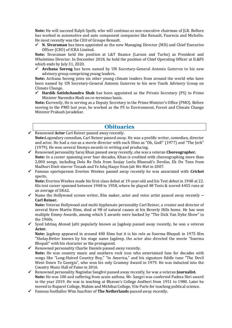**Note:** He will succeed Ralph Speth, who will continue as non-executive chairman of JLR. Bollore has worked in automotive and auto component companies like Renault, Faurecia and Michelin. He most recently was the CEO of Groupe Renault.

✓ **N. Sivaraman** has been appointed as the new Managing Director (MD) and Chief Executive Officer (CEO) of ICRA Limited**.**

**Note:** Sivaraman held the position at L&T finance (Larson and Turbo) as President and Wholetime Director. In December 2018, he held the position of Chief Operating Officer at IL&FS which ends by July 31, 2020.

✓ **Archana Soreng** has been named by UN Secretary-General Antonio Guterres to his new advisory group comprising young leaders**.**

**Note:** Archana Soreng joins six other young climate leaders from around the world who have been named by UN Secretary-General Antonio Guterres to his new Youth Advisory Group on Climate Change.

✓ **Hardik Satishchandra Shah** has been appointed as the Private Secretary (PS) to Prime Minister Narendra Modi on co-terminus basis**.**

**Note:** Currently, He is serving as a Deputy Secretary in the Prime Minister's Office (PMO). Before moving to the PMO last year, he worked as the PS to Environment, Forest and Climate Change Minister Prakash Javadekar.

#### **Obituaries**

✓ Renowned **Actor** Carl Reiner passed away recently. **Note:**Legendary comedian, Carl Reiner passed away. He was a prolific writer, comedian, director and actor. He had a run as a movie director with such films as "Oh, God!" (1977) and "The Jerk" (1979). He won several Emmys awards in writing and producing.

- ✓ Renowned personality Saroj Khan passed away recently, she was a veteran **Choreographer. Note:** In a career spanning over four decades, Khan is credited with choreographing more than 2,000 songs, including Dola Re Dola from Sanjay Leela Bhansali's Devdas, Ek Do Teen from Madhuri Dixit-starrer Tezaab and Ye Ishq Haaye from Jab We Met in 2007.
- ✓ Famous sportsperson Everton Weekes passed away recently he was associated with **Cricket** sports**.**

**Note:** Everton Weekes made his first-class debut at 19-year-old and his Test debut in 1948 at 22. His test career spanned between 1948 to 1958, where he played 48 Tests & scored 4455 runs at an average of 58.62.

✓ Name the Hollywood screen writer, film maker, actor and voice artist passed away recently **-- Carl Reiner.**

**Note:** Veteran Hollywood and multi-hyphenate personality Carl Reiner, a creator and director of several Steve Martin films, died at 98 of natural causes at his Beverly Hills home. He has won multiple Emmy Awards, among which 5 awards were backed by "The Dick Van Dyke Show" in the 1960s.

 $\checkmark$  Syed Ishtiaq Ahmed Jafri popularly known as Jagdeep passed away recently, he was a veteran **Actor.**

**Note:** Jagdeep appeared in around 400 films but it is his role as Soorma Bhopali in 1975 film "Sholay.Better known by his stage name Jagdeep, the actor also directed the movie "Soorma Bhopali" with his character as the protagonist.

- $\checkmark$  Renowned personality Charlie Daniels passed away recently. **Note:** He was country music and southern rock icon who entertained fans for decades with songs like "Long-Haired Country Boy," "In America," and his signature fiddle tune "The Devil Went Down To Georgia", who won his only Grammy Award in 1979. He was inducted into the Country Music Hall of Fame in 2016.
- ✓ Renowned personality Nagindas Sanghvi passed away recently, he was a veteran **Journalist. Note:** He was 100 and suffering from acute asthma. Mr. Sangvi was conferred Padma Shri award in the year 2019. He was in teaching at Bhavan's College Andheri from 1951 to 1980. Later he moved to Ruparel College, Mahim and Mithibai College, Vile Parle for teaching political science.
- ✓ Famous footballer Wim Suurbier of **The Netherlands** passed away recently**.**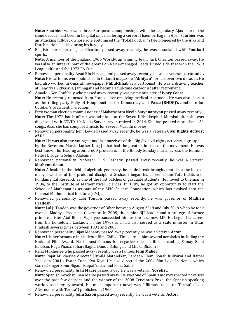**Note:** Suurbier, who won three European championships with the legendary Ajax side of the same decade, had been in hospital since suffering a cerebral haemorrhage in April.Suurbier was an attacking full-back whose role epitomised the "Total Football" style pioneered by the Ajax and Dutch national sides during his heyday.

✓ English sports person Jack Charlton passed away recently, he was associated with **Football** sports**.**

**Note:** A member of the England 1966 World-Cup winning team, Jack Charlton passed away. He was also an integral part of the great Don Revie-managed Leeds United side that won the 1969 League title and the 1972 FA Cup.

- ✓ Renowned personality Avad Bin Hassan Jami passed away recently, he was a veteran **cartoonist. Note:** His cartoons were published in Gujarati magazine **"Abhiyan"** for last over two decades. He had also worked in Gujarati newspaper **Phhulchhab** as a cartoonist. He was a drawing teacher at Kendriya Vidyalaya, Jamnagar and became a full-time cartoonist after retirement.
- ✓ Amadou Gon Coulibaly who passed away recently was prime minister of **Ivory Coast. Note:** He recently returned from France after receiving medical treatment. He was also chosen as the ruling party Rally of Houphouetists for Democracy and Peace **(RHDP)'s** candidate for October's presidential election.
- ✓ First woman election commissioner of Maharashtra **Neela Satyanarayan** passed away recently. **Note:** The 1972 batch officer was admitted at the Seven Hills Hospital, Mumbai after she was diagnosed with COVID-19. Neela Satyanarayan retired in 2014. She has penned more than 150 songs. Also, she has composed music for several Marathi movies.
- ✓ Renowned personality John Lewis passed away recently, he was a veteran **Civil Rights Activist of US.**

**Note:** He was also the youngest and last survivor of the Big Six civil rights activists, a group led by the Reverand Martin Luther King Jr that had the greatest impact on the movement. He was best known for leading around 600 protesters in the Bloody Sunday march across the Edmund Pettus Bridge in Selma, Alabama.

 $\checkmark$  Renowned personality Professor C. S. Seshadri passed away recently, he was a veteran **Mathematician.**

**Note:** A leader in the field of algebraic geometry, he made breakthroughs that lie at the base of many branches of this profound discipline. Seshadri began his career at the Tata Institute of Fundamental Research as one of the first batches of graduate students. He moved to Chennai in 1984, to the Institute of Mathematical Sciences. In 1989, he got an opportunity to start the School of Mathematics as part of the SPIC Science Foundation, which has evolved into the Chennai Mathematical Institute (CMI).

✓ Renowned personality Lalji Tondon passed away recently, he was governor of **Madhya Pradesh**.

**Note:** Lal Ji Tandon was the governor of Bihar between August 2018 and July 2019 when he took over as Madhya Pradesh's Governor. In 2009, the senior BJP leader and a protege of former prime minister Atal Bihari Vajpayee, succeeded him as the Lucknow MP. He began his career from his hometown Lucknow in the 1970s and had also served as a state minister in Uttar Pradesh several times between 1991 and 2003.

- ✓ Renowned personality Bijay Mohanty passed away, recently he was a veteran **Actor. Note:** His performance in his debut film, Chilika Tire, earned him several accolades including the National Film Award. He is most famous for negative roles in films including Samay Bada Balaban, Naga Phasa, Sahari Bagha, Danda Balunga and Chaka Bhaunri.
- ✓ Rajat Mukherjee who passed away recently was a famous **Film Maker. Note:** Rajat Mukherjee directed Urmila Matondkar, Fardeen Khan, Sonali Kulkarni and Rajpal Yadav in 2001's Pyaar Tune Kya Kiya. He also directed the 2004 film Love In Nepal, which starred singer Sonu Nigam, Rajpal Yadav and Flora Saini.
- ✓ Renowned personality **Juan Marse** passed away, he was a veteran **Novelist. Note:** Spanish novelist, Juan Marse passed away. He was one of Spain's most-respected novelists over the past few decades and the winner of the 2008 Cervantes Prize, the Spanish-speaking world's top literary award. His most important novel was "Úlitmas trades on Teresa" ("Last Afternoons with Teresa") published in 1965.
- ✓ Renowned personality **John Saxon** passed away recently, he was a veteran **Actor.**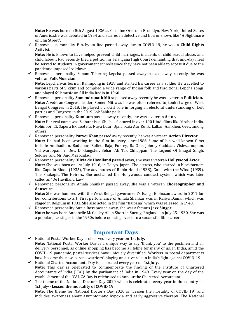**Note:** He was born on 5th August 1936 as Carmine Orrico in Brooklyn, New York, United States of America.He was debuted in 1954 and starred in detective and horror shows like "A Nightmare on Elm Street".

✓ Renowned personality P Achyuta Rao passed away due to COVID-19, he was a **Child Rights Activist.**

**Note:** He is known to have helped prevent child marriages, incidents of child sexual abuse, and child labour. Rao recently filed a petition in Telangana High Court demanding that mid-day meal be served to students in government schools since they have not been able to access it due to the pandemic-imposed lockdown.

✓ Renowned personality Sonam Tshering Lepcha passed away passed away recently, he was veteran **Folk Musician.**

**Note:** Lepcha was born in Kalimpong in 1928 and started his career as a soldier.He travelled to various parts of Sikkim and complied a wide range of Indian folk and traditional Lepcha songs and played folk music on All India Radio in 1960.

- ✓ Renowned personality **Somendranath Mitra** passed away recently he was a veteran **Politician. Note:** A veteran Congress leader, Somen Mitra as he was often referred to, took charge of West Bengal Congress in 2018. He played a crucial role in forging an electoral understanding of Left parties and Congress in the 2019 Lok Sabha polls.
- ✓ Renowned personality **Kumkum** passed away recently, she was a veteran **Actor. Note:** Her real name was Zaibunnissa. She has featured in over 100 Hindi films like Mother India, Kohinoor, Ek Sapera Ek Lootera, Naya Daur, Ujala, Raja Aur Runk, Lalkar, Aankhen, Geet, among others.
- ✓ Renowned personality **Parvej Khan** passed away recently, he was a veteran **Action Director. Note:** He had been working in the film industry since 1986. Some of his well-known films include Andhadhun, Badlapur, Bullett Raja, Fukrey, Ra-One, Johnny Gaddaar, Vishwaroopam, Vishwaroopam 2, Dev. D, Gangster, Sehar, Ab Tak Chhappan, The Legend Of Bhagat Singh, Soldier, and Mr. And Mrs Khiladi.
- ✓ Renowned personality **Olivia de Havilland** passed away, she was a veteran **Hollywood Actor. Note:** She was born on 1st July 1916, in Tokyo, Japan. The actress, who starred in blockbusters like Captain Blood (1935), The adventures of Robin Hood (1938), Gone with the Wind (1939), The Snakepit, The Heiress. She unchained the Hollywoods contract system which was later called as "De Havilland Law".
- ✓ Renowned personality Amala Shankar passed away, she was a veteran **Choreographer and danseuse.**

**Note:** She was honored with the West Bengal government's Banga Bibhusan award in 2011 for her contributions to art. First performance of Amala Shankar was in Kaliya Daman which was staged in Belgium in 1931. She also acted in the film "Kalpana" which was released in 1948.

✓ Renowned personality Annie Ross passed away, she was a famous **Jazz Singer. Note:** he was born Annabelle McCauley Allan Short in Surrey, England, on July 25, 1930. She was a popular jazz singer in the 1950s before crossing over into a successful film career.

#### **Important Days**

- National Postal Worker Day is observed every year on 1st July. **Note:** National Postal Worker Day is a unique way to say 'thank you' to the postmen and all delivery personnel, as online shopping has become a lifeline for many of us. In India, amid the COVID-19 pandemic, postal services have uniquely diversified. Workers in postal departments have become the new 'corona warriors', playing an active role in India's fight against COVID-19
- ✓ National Charted Accountants Day is celebrated every year on **1st July. Note:** This day is celebrated to commemorate the finding of the Institute of Chartered Accountants of India (ICAI) by the parliament of India in 1949. Every year on the day of the establishment of the ICAI, CA Day is celebrated to honour the Chartered Accountant.
- ✓ The theme of the National Doctor's Day 2020 which is celebrated every year in the country on 1st July**-- Lessen the mortality of COVID 19.**

**Note:** The theme for National Doctor's Day 2020 is "Lessen the mortality of COVID 19" and includes awareness about asymptomatic hypoxia and early aggressive therapy. The National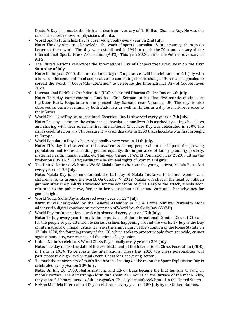Doctor's Day also marks the birth and death anniversary of Dr Bidhan Chandra Roy. He was the one of the most renowned physicians of India.

✓ World Sports Journalists Day is observed globally every year on **2nd July. Note:** The day aims to acknowledge the work of sports journalists & to encourage them to do better at their work. The day was established in 1994 to mark the 70th anniversary of the International Sports Press Association (AIPS). This year 2020 marks the 96th anniversary of AIPS.

✓ The United Nations celebrates the International Day of Cooperatives every year on the **first Saturday of July.**

**Note:** In the year 2020, the International Day of Cooperatives will be celebrated on 4th July with a focus on the contribution of cooperatives to combating climate change. UN has also appealed to spread the word: "#Coops4ClimateAction" to celebrate the International Day of Cooperatives 2020.

- ✓ International Buddhist Confederation (IBC) celebrated Dharma Chakra Day on **4th July. Note:** This day commemorates Buddha's First Sermon to his first five ascetic disciples at the **Deer Park, Rsipatana** in the present day Sarnath near Varanasi, UP. The day is also observed as Guru Poornima by both Buddhists as well as Hindus as a day to mark reverence to their Gurus.
- ✓ World Chocolate Day or International Chocolate Day is observed every year on **7th July. Note:** The day celebrates the existence of chocolate in our lives. It is marked by eating chocolates and sharing with dear ones.The first International Chocolate Day was celebrated in 2009. The day is celebrated on July 7th because it was on this date in 1550 that chocolate was first brought to Europe.
- ✓ World Population Day is observed globally every year on **11th July.**

**Note:** This day is observed to raise awareness among people about the impact of a growing population and issues including gender equality, the importance of family planning, poverty, maternal health, human rights, etc.This year theme of World Population Day 2020: Putting the brakes on COVID-19: Safeguarding the health and rights of women and girls.

✓ The United Nations celebrates World Malala Day to honour the young activist, Malala Yousafzai every year on **12th July.**

**Note:** Malala Day is commemorated, the birthday of Malala Yousafzai to honour women and children's rights around the world. On October 9, 2012, Malala was shot in the head by Taliban gunmen after she publicly advocated for the education of girls. Despite the attack, Malala soon returned to the public eye, fiercer in her views than earlier and continued her advocacy for gender rights.

- ✓ World Youth Skills Day is observed every year on **15th July. Note:** It was designated by the General Assembly in 2014. Prime Minister Narendra Modi addressed a digital conclave on the occasion of World Youth Skills Day (WYSD).
- ✓ World Day for International Justice is observed every year on **17th July. Note:** 17 July every year to mark the importance of the International Criminal Court (ICC) and for the people to pay attention to serious crimes happening around the world. 17 July is the Day of International Criminal Justice. It marks the anniversary of the adoption of the Rome Statute on 17 July 1998, the founding treaty of the ICC, which seeks to protect people from genocide, crimes against humanity, war crimes and the crime of aggression.
- ✓ United Nations celebrates World Chess Day globally every year on **20th July. Note:** The day marks the date of the establishment of the International Chess Federation (FIDE) in Paris in 1924. To celebrate the International Chess Day 2020 top chess personalities will participate in a high-level virtual event "Chess for Recovering Better".
- ✓ To mark the anniversary of man's first historic landing on the moon the Space Exploration Day is celebrated every year on **20th July. Note:** On July 20, 1969, Neil Armstrong and Edwin Buzz became the first humans to land on moon's surface. The Armstrong-Aldrin duo spent 21.5 hours on the surface of the moon. Also, they spent 2.5 hours outside of their capsules. The day is mainly celebrated in the United States.
- ✓ Nelson Mandela International Day is celebrated every year on **18th July** by the United Nations**.**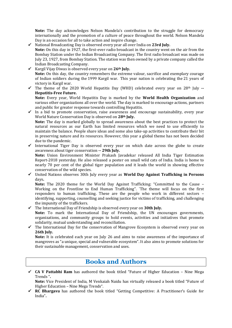**Note:** The day acknowledges Nelson Mandela's contribution to the struggle for democracy internationally and the promotion of a culture of peace throughout the world. Nelson Mandela Day is an occasion for all to take action and inspire change.

- ✓ National Broadcasting Day is observed every year all over India on **23rd July. Note:** On this day in 1927, the first-ever radio broadcast in the country went on the air from the Bombay Station under the Indian Broadcasting Company. The first radio broadcast was made on July 23, 1927, from Bombay Station. The station was then owned by a private company called the Indian Broadcasting Company.
- ✓ Kargil Vijay Diwas is observed every year on **26th July.** Note: On this day, the country remembers the extreme valour, sacrifice and exemplary courage of Indian soldiers during the 1999 Kargil war. This year nation is celebrating the 21 years of victory in Kargil war.
- ✓ The theme of the 2020 World Hepatitis Day (WHD) celebrated every year on 28th July **-- Hepatitis-Free Future.**

**Note:** Every year, World Hepatitis Day is marked by the **World Health Organization** and various other organizations all over the world. The day is marked to encourage actions, partners and public for greater response towards controlling Hepatitis.

- $\checkmark$  In a bid to promote conservation, raise awareness and encourage sustainability, every year World Nature Conservation Day is observed on **28th July. Note:** The day is marked globally to spread awareness about the best practices to protect the natural resources as our Earth has limited resources which we need to use efficiently to maintain the balance. People share ideas and some also take-up activities to contribute their bit in preserving nature and its resources. However, this year a global theme has not been decided due to the pandemic.
- ✓ International Tiger Day is observed every year on which date across the globe to create awareness about tiger conservation **-- 29th July.**

**Note:** Union Environment Minister Prakash Javadekar released All India Tiger Estimation Report-2018 yesterday. He also released a poster on small wild cats of India. India is home to nearly 70 per cent of the global tiger population and it leads the world in showing effective conservation of the wild species.

✓ United Nations observes 30th July every year as **World Day Against Trafficking in Persons** days**.**

**Note:** The 2020 theme for the World Day Against Trafficking: "Committed to the Cause – Working on the Frontline to End Human Trafficking". `The theme will focus on the first responders to human trafficking. These are the people who work in different sectors – identifying, supporting, counselling and seeking justice for victims of trafficking, and challenging the impunity of the traffickers.

✓ The International Day of Friendship is observed every year on **30th July.**

**Note:** To mark the International Day of Friendship, the UN encourages governments, organizations, and community groups to hold events, activities and initiatives that promote solidarity, mutual understanding and reconciliation.

✓ The International Day for the conservation of Mangrove Ecosystem is observed every year on **26th July.**

**Note:** It is celebrated each year on July 26 and aims to raise awareness of the importance of mangroves as "a unique, special and vulnerable ecosystem". It also aims to promote solutions for their sustainable management, conservation and uses.

## **Books and Authors**

✓ **CA V Pattabhi Ram** has authored the book titled "Future of Higher Education – Nine Mega Trends "**.**

**Note:** Vice President of India, M Venkaiah Naidu has virtually released a book titled "Future of Higher Education – Nine Mega Trends".

✓ **RC Bhargava** has authored the book titled "Getting Competitive: A Practitioner's Guide for India"**.**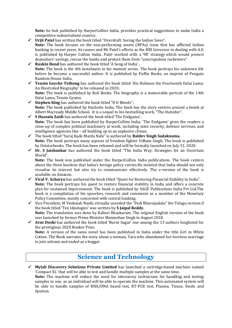**Note:** he bok published by HarperCollins India, provides practical suggestions to make India a competitive industrialised country.

- ✓ **Urjit Patel** has written the book titled "Overdraft: Saving the Indian Saver'**.**
- **Note:** The book focuses on the non-performing assets (NPAs) issue that has afflicted Indian banking in recent years, its causes and Mr Patel's efforts as the RBI Governor in dealing with it.It is published by Harper Collins India. Patel worked with a '9R' strategy which would protect depositors' savings, rescue the banks and protect them from "unscrupulous racketeers"
- ✓ **Ruskin Bond** has authored the book titled 'A Song of India' **. Note:** The book is the 4th instalment in his memoir series. The book portrays his unknown life before he became a successful author. It is published by Puffin Books, an imprint of Penguin Random House India.
- ✓ **Tenzin Geyche Tethong** has authored the book titled 'His Holiness the Fourteenth Dalai Lama: An Illustrated Biography' to be released in 2020**. Note:** The book is published by Roli Books. The biography is a memorable portrait of the 14th Dalai Lama, Tenzin Gyatso.
- ✓ **Stephen King** has authored the book titled "If It Bleeds"**. Note:** The book published by Hachette India. The book has the story centres around a bomb at Albert Macready Middle School. It is a sequel to his bestselling work, "The Outsider".
- ✓ **S Hussain Zaidi** has authored the book titled 'The Endgame'**. Note:** The book has been published by HarperCollins India. 'The Endgame' gives the readers a close-up of complex political machinery at work, including state security, defence services, and intelligence agencies like – all building up to an explosive climax.
- ✓ The book titled "Suraj Kade Marda Nahi" is authored by **Baldev Singh Sadaknama. Note:** The book portrays many aspects of freedom fighter Udham Singh. The book is published by Unistarbooks. The book has been released and will be formally launched on July 31, 2020.
- ✓ **Dr. S Jaishankar** has authored the book titled "The India Way: Strategies for an Uncertain World".

**Note:** The book was published under the HarperCollins India publications. The book centers about the three burdens that India's foreign policy carries.He insisted that India should not only visualise its interest but also try to communicate effectively. The e-version of the book is available on Amazon.

- ✓ **Viral V. Acharya** has authored the book titled "Quest for Restoring Financial Stability in India". **Note:** The book portrays his quest to restore financial stability in India and offers a concrete plan for sustained improvement. The book is published by SAGE Publications India Pvt Ltd.The book is a compilation of his speeches, research and comments as a member of the Monetary Policy Committee, mostly concerned with central banking.
- ✓ Vice President, M Venkaiah Naidu virtually unveiled the "Padi Bhavajaalalu" the Telugu version if the book titled 'Ten Ideologies' was written by **S Jaipal Reddy. Note:** The translation was done by Kalluri Bhaskaram. The original English version of the book was launched by former Prime Minister Manmohan Singh in August 2018.
- ✓ **Avni Doshi** has authored the book titled 'Burnt Sugar' one among the 13 authors longlisted for the prestigious 2020 Booker Prize.

**Note:** A version of the same novel has been published in India under the title Girl in White Cotton. The Book narrates the story about a woman, Tara who abandoned her loveless marriage to join ashram and ended as a beggar.

## **Science and Technology**

✓ **Mylab Discovery Solutions Private Limited** has launched a cartridge-based machine named 'Compact XL' that will be able to test and handle multiple samples at the same time. **Note:** The machine will reduce the need for laboratory technicians for handling and testing samples to one, as an individual will be able to operate the machine. This automated system will be able to handle samples of RNA/DNA based test, RT-PCR test, Plasma, Tissue, Swab, and Sputum.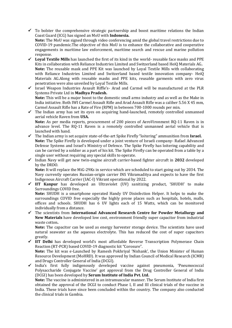$\checkmark$  To bolster the comprehensive strategic partnership and boost maritime relations the Indian Coast Guard (ICG) has signed an MoU with **Indonesia.**

**Note:** The MoU was signed through video conferencing amid the global travel restrictions due to COVID-19 pandemic.The objective of this MoU is to enhance the collaborative and cooperative engagements in maritime law enforcement, maritime search and rescue and marine pollution response.

- ✓ **Loyal Textile Mills** has launched the first of its kind in the world- reusable face masks and PPE Kits in collaboration with Reliance Industries Limited and Switzerland based HeiQ Materials AG**. Note:** The reusable mask and PPE Kit was launched by Loyal Textile Mills with collaborating with Reliance Industries Limited and Switzerland based textile innovation company- HeiQ Materials AG.Along with reusable masks and PPE kits, reusable garments with zero virus penetration were also unveiled by Loyal Textile Mills.
- ✓ Israel Weapon Industries Assault Riffle's- Arad and Carmel will be manufactured at the PLR Systems Private Ltd in **Madhya Pradesh. Note:** This will be a major boost to the domestic small arms industry and as well as the Make in India initiative. Both IWI Carmel Assault Rifle and Arad Assault Rifle was a caliber 5.56 X 45 mm, Carmel Assault Rifle has a Rate of Fire (RPM) in between 700-1000 rounds per min.
- ✓ The Indian army has set its eyes on acquiring hand-launched, remotely controlled unmanned aerial vehicle Raven from **USA.**

**Note:** As per media reports, procurement of 200 pieces of AeroVironment RQ-11 Raven is in advance level. The RQ-11 Raven is a remotely controlled unmanned aerial vehicle that is launched with hand.

- ✓ The Indian army is set acquire state-of-the-art Spike Firefly "loitering" ammunition from **Israel. Note:** The Spike Firefly is developed under a joint venture of Israeli company- Rafael Advanced Defense Systems and Israel's Ministry of Defence. The Spike Firefly has loitering capability and can be carried by a soldier as a part of his kit. The Spike Firefly can be operated from a table by a single user without requiring any special skills to operate.
- ✓ Indian Navy will get new twin-engine aircraft carrier-based fighter aircraft in **2032** developed by the DRDO.

**Note:** It will replace the MiG-29Ks in service which are scheduled to start going out by 2034. The Navy currently operates Russian-origin carrier INS Vikramaditya and expects to have the first Indigenous Aircraft Carrier (IAC-I) Vikrant operational by 2022.

✓ **IIT Kanpur** has developed an Ultraviolet (UV) sanitizing product, 'SHUDH' to make Surroundings COVID free.

**Note:** SHUDH is a smartphone operated Handy UV Disinfection Helper. It helps to make the surroundings COVID free especially the highly prone places such as hospitals, hotels, malls, offices and schools. SHUDH has 6 UV lights each of 15 Watts, which can be monitored individually from a distance.

✓ The scientists from **International Advanced Research Centre for Powder Metallurgy and New Materials** have developed low cost, environment friendly super capacitor from industrial waste cotton**.**

**Note:** The capacitor can be used as energy harvester storage device. The scientists have used natural seawater as the aqueous electrolyte. This has reduced the cost of super capacitors greatly.

- ✓ **IIT Delhi** has developed world's most affordable Reverse Transcription Polymerase Chain Reaction (RT-PCR) based COVID-19 diagnostic kit "Corosure". **Note:** The kit was e-Launched by Ramesh Pokhriyal 'Nishank', the Union Minister of Human Resource Development (MoHRD). It was approved by Indian Council of Medical Research (ICMR) and Drugs Controller General of India (DCGI).
- ✓ India's first fully indigenously developed vaccine against pneumonia, 'Pneumococcal Polysaccharide Conjugate Vaccine' got approval from the Drug Controller General of India (DCGI) has been developed by **Serum Institute of India Pvt. Ltd.**

**Note:** The vaccine is administered in an intramuscular manner. The Serum Institute of India first obtained the approval of the DCGI to conduct Phase I, II and III clinical trials of the vaccine in India. These trials have since been concluded within the country. The company also conducted the clinical trials in Gambia.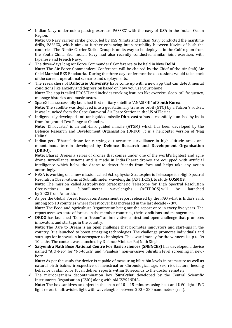✓ Indian Navy undertook a passing exercise 'PASSEX' with the navy of **USA** in the Indian Ocean Region**.** 

**Note:** US Navy carrier strike group, led by USS Nimitz and Indian Navy conducted the maritime drills, PASSEX, which aims at further enhancing interoperability between Navies of both the countries. The Nimitz Carrier Strike Group is on its way to be deployed in the Gulf region from the South China Sea. Indian Navy had also recently conducted similar joint exercises with Japanese and French Navy.

- ✓ The three-days long Air Force Commanders' Conference to be held in **New Delhi. Note:** The Air Force Commanders' Conference will be chaired by the Chief of the Air Staff, Air Chief Marshal RKS Bhadauria. During the three-day conference the discussions would take stock of the current operational scenario and deployments.
- ✓ The researchers of **Dalhousie University** have come up with a new app that can detect mental conditions like anxiety and depression based on how you use your phone. **Note:** The app is called PROSIT and includes tracking features like exercise, sleep, call frequency, message histories and music tastes.
- ✓ SpaceX has successfully launched first military satellite "ANASIS-II" of **South Korea. Note:** The satellite was deployed into a geostationary transfer orbit (GTO) by a Falcon 9 rocket. It was launched from the Cape Canaveral Air Force Station in the US of Florida.
- ✓ Indigenously developed anti-tank guided missile **Dhruvastra has** successfully launched by India from Integrated Test Range at Chandip**.**

**Note:** 'Dhruvastra' is an anti-tank guided missile (ATGM) which has been developed by the Defence Research and Development Organisation (DRDO). It is a helicopter version of 'Nag Helina'.

 $\checkmark$  Indian gets 'Bharat' drone for carrying out accurate surveillance in high altitude areas and mountainous terrain developed by **Defence Research and Development Organisation (DRDO).**

**Note:** Bharat Drones a series of drones that comes under one of the world's lightest and agile drone surveillance systems and is made in India.Bharat drones are equipped with artificial intelligence which helps the drone to detect friends from foes and helps take any action accordingly.

✓ NASA is working on a new mission called Astrophysics Stratospheric Telescope for High Spectral Resolution Observations at Submillimeter wavelengths (ASTHROS), to study **COSMOS. Note:** The mission called Astrophysics Stratospheric Telescope for High Spectral Resolution

Observations at Submillimeter wavelengths (ASTHROS) will be launched by 2023 from Antarctica.  $\checkmark$  As per the Global Forest Resources Assessment report released by the FAO what is India's rank

- among top 10 countries where forest cover has increased in the last decade **-- 3rd. Note:** The Food and Agriculture Organization bring out the report once in every five years. The report assesses state of forests in the member countries, their conditions and management.
- ✓ **DRDO** has launched "Dare to Dream" an innovative contest and open challenge that promotes innovators and startups in the country. **Note:** The Dare to Dream is an open challenge that promotes innovators and start-ups in the country. It is launched to boost emerging technologies. The challenge promotes individuals and start-ups for innovation in aerospace technologies. The award money for the winners is up to Rs 10 lakhs. The contest was launched by Defence Minister Raj Nath Singh.
- ✓ **Satyendra Nath Bose National Centre For Basic Sciences (SNBNCBS)** has developed a device named "AJO-Neo" for "No-touch" and "Painless" non-invasive bilirubin level screening in newborn**.**

**Note:** As per the study the device is capable of measuring bilirubin levels in premature as well as natural birth babies irrespective of menstrual or Chronological age, sex, risk factors, feeding behavior or skin color. It can deliver reports within 10 seconds to the doctor remotely.

✓ The microorganism decontamination box '**Suraksha'** developed by the Central Scientific Instruments Organisation (CSIO) along with AMESYS INDIA**. Note:** The box sanitizes an object in the span of 10 – 15 minutes using heat and UVC light. UVC light refers to ultraviolet light with wavelengths between 200 – 280 nanometers (nm).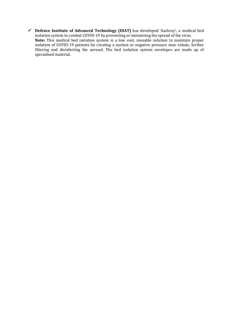✓ **Defence Institute of Advanced Technology (DIAT)** has developed 'Aashray', a medical bed isolation system to combat COVID-19 by preventing or minimising the spread of the virus.

**Note:** This medical bed isolation system is a low cost, reusable solution to maintain proper isolation of COVID-19 patients by creating a suction or negative pressure near exhale, further filtering and disinfecting the aerosol. The bed isolation system envelopes are made up of specialised material.